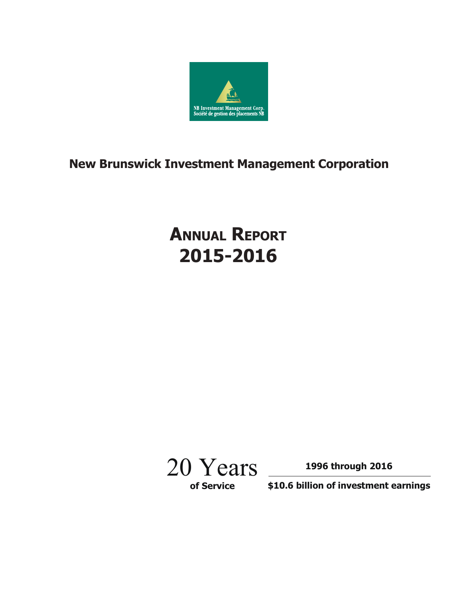

# **New Brunswick Investment Management Corporation**

# **ANNUAL REPORT 2015-2016**



**1996 through 2016**

**\$10.6 billion of investment earnings**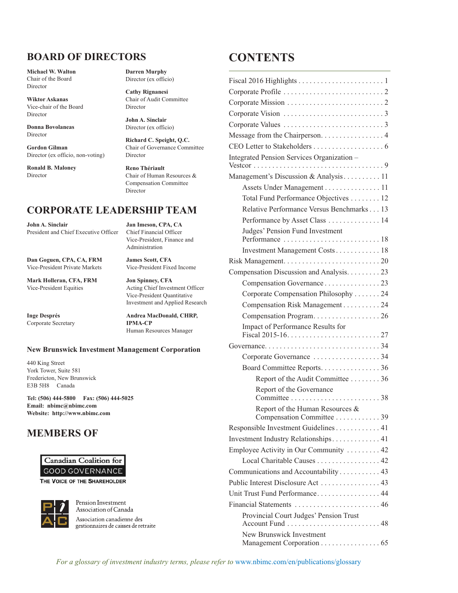## **boArD of DIreCTors**

**Michael W. Walton** Chair of the Board Director

**Wiktor Askanas** Vice-chair of the Board Director

**Donna Bovolaneas** Director

**Gordon Gilman** Director (ex officio, non-voting)

**Ronald B. Maloney** Director

**Darren Murphy** Director (ex officio)

**Cathy Rignanesi** Chair of Audit Committee Director

**John A. Sinclair** Director (ex officio)

**Richard C. Speight, Q.C.** Chair of Governance Committee Director

**Reno Thériault** Chair of Human Resources & Compensation Committee Director

### **CorPorATe LeADersHIP TeAM**

**John A. sinclair Jan Imeson, CPA, CA** President and Chief Executive Officer

**Dan Goguen, CPA, CA, frM James scott, CfA** Vice-President Private Markets Vice-President Fixed Income

**Mark Holleran, CfA, frM Jon spinney, CfA**

**Corporate Secretary** 

Vice-President, Finance and Administration

Vice-President Equities Acting Chief Investment Officer Vice-President Quantitative Investment and Applied Research

**Inge Després Andrea MacDonald, CHRP,**<br> **Cornorate Secretary IPMA-CP** Human Resources Manager

#### **New brunswick Investment Management Corporation**

440 King Street York Tower, Suite 581 Fredericton, New Brunswick E3B 5H8 Canada

**Tel: (506) 444-5800 fax: (506) 444-5025 email: nbimc@nbimc.com Website: http://www.nbimc.com**

### **MeMbers of**



THE VOICE OF THE SHAREHOLDER



Pension Investment Association of Canada Association canadienne des gestionnaires de caisses de retraite

## **CoNTeNTs**

| Message from the Chairperson. 4                            |  |  |  |  |  |  |
|------------------------------------------------------------|--|--|--|--|--|--|
|                                                            |  |  |  |  |  |  |
| Integrated Pension Services Organization -                 |  |  |  |  |  |  |
| Management's Discussion & Analysis 11                      |  |  |  |  |  |  |
| Assets Under Management 11                                 |  |  |  |  |  |  |
| Total Fund Performance Objectives 12                       |  |  |  |  |  |  |
| Relative Performance Versus Benchmarks 13                  |  |  |  |  |  |  |
| Performance by Asset Class  14                             |  |  |  |  |  |  |
| Judges' Pension Fund Investment                            |  |  |  |  |  |  |
| Investment Management Costs 18                             |  |  |  |  |  |  |
|                                                            |  |  |  |  |  |  |
| Compensation Discussion and Analysis. 23                   |  |  |  |  |  |  |
| Compensation Governance 23                                 |  |  |  |  |  |  |
| Corporate Compensation Philosophy 24                       |  |  |  |  |  |  |
| Compensation Risk Management 24                            |  |  |  |  |  |  |
|                                                            |  |  |  |  |  |  |
| Impact of Performance Results for                          |  |  |  |  |  |  |
|                                                            |  |  |  |  |  |  |
| Corporate Governance 34                                    |  |  |  |  |  |  |
| Board Committee Reports. 36                                |  |  |  |  |  |  |
| Report of the Audit Committee 36                           |  |  |  |  |  |  |
| Report of the Governance                                   |  |  |  |  |  |  |
| Report of the Human Resources &                            |  |  |  |  |  |  |
| Compensation Committee 39                                  |  |  |  |  |  |  |
| Responsible Investment Guidelines 41                       |  |  |  |  |  |  |
| Investment Industry Relationships 41                       |  |  |  |  |  |  |
| Employee Activity in Our Community  42                     |  |  |  |  |  |  |
| Local Charitable Causes 42                                 |  |  |  |  |  |  |
| Communications and Accountability 43                       |  |  |  |  |  |  |
|                                                            |  |  |  |  |  |  |
| Unit Trust Fund Performance 44                             |  |  |  |  |  |  |
| Financial Statements  46                                   |  |  |  |  |  |  |
| Provincial Court Judges' Pension Trust<br>Account Fund  48 |  |  |  |  |  |  |
| New Brunswick Investment                                   |  |  |  |  |  |  |
| Management Corporation 65                                  |  |  |  |  |  |  |

*For a glossary of investment industry terms, please refer to* www.nbimc.com/en/publications/glossary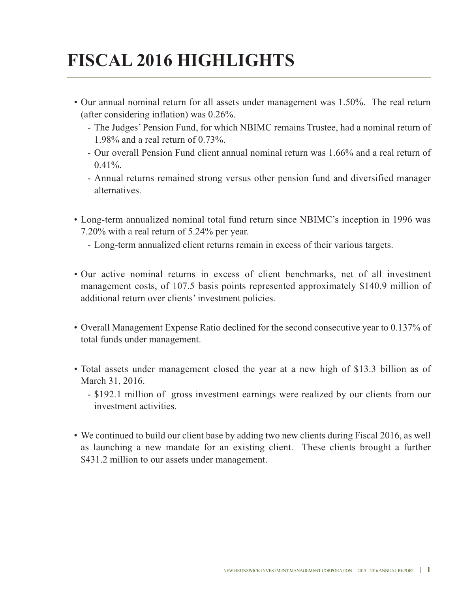# **fIsCAL 2016 HIGHLIGHTs**

- Our annual nominal return for all assets under management was 1.50%. The real return (after considering inflation) was 0.26%.
	- The Judges' Pension Fund, for which NBIMC remains Trustee, had a nominal return of 1.98% and a real return of 0.73%.
	- Our overall Pension Fund client annual nominal return was 1.66% and a real return of  $0.41\%$ .
	- Annual returns remained strong versus other pension fund and diversified manager alternatives.
- Long-term annualized nominal total fund return since NBIMC's inception in 1996 was 7.20% with a real return of 5.24% per year.
	- Long-term annualized client returns remain in excess of their various targets.
- Our active nominal returns in excess of client benchmarks, net of all investment management costs, of 107.5 basis points represented approximately \$140.9 million of additional return over clients' investment policies.
- Overall Management Expense Ratio declined for the second consecutive year to 0.137% of total funds under management.
- Total assets under management closed the year at a new high of \$13.3 billion as of March 31, 2016.
	- \$192.1 million of gross investment earnings were realized by our clients from our investment activities.
- we continued to build our client base by adding two new clients during Fiscal 2016, as well as launching a new mandate for an existing client. These clients brought a further \$431.2 million to our assets under management.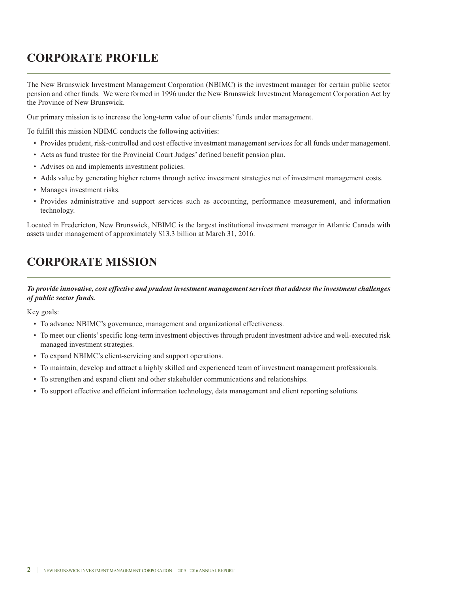## **CorPorATe ProfILe**

The New Brunswick Investment Management Corporation (NBIMC) is the investment manager for certain public sector pension and other funds. we were formed in 1996 under the New Brunswick Investment Management Corporation Act by the Province of New Brunswick.

Our primary mission is to increase the long-term value of our clients' funds under management.

To fulfill this mission NBIMC conducts the following activities:

- Provides prudent, risk-controlled and cost effective investment management services for all funds under management.
- Acts as fund trustee for the Provincial Court Judges' defined benefit pension plan.
- Advises on and implements investment policies.
- Adds value by generating higher returns through active investment strategies net of investment management costs.
- Manages investment risks.
- Provides administrative and support services such as accounting, performance measurement, and information technology.

Located in Fredericton, New Brunswick, NBIMC is the largest institutional investment manager in Atlantic Canada with assets under management of approximately \$13.3 billion at March 31, 2016.

## **CorPorATe MIssIoN**

### *To provide innovative, cost effective and prudent investment management services that address the investment challenges of public sector funds.*

Key goals:

- To advance NBIMC's governance, management and organizational effectiveness.
- To meet our clients'specific long-term investment objectives through prudent investment advice and well-executed risk managed investment strategies.
- To expand NBIMC's client-servicing and support operations.
- To maintain, develop and attract a highly skilled and experienced team of investment management professionals.
- To strengthen and expand client and other stakeholder communications and relationships.
- To support effective and efficient information technology, data management and client reporting solutions.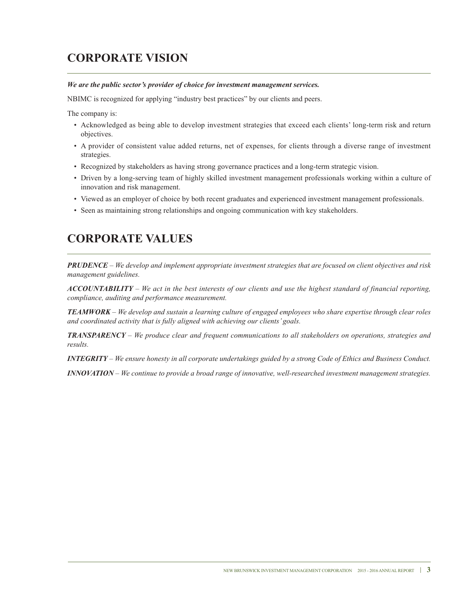## **CorPorATe VIsIoN**

#### *We are the public sector's provider of choice for investment management services.*

NBIMC is recognized for applying "industry best practices" by our clients and peers.

The company is:

- Acknowledged as being able to develop investment strategies that exceed each clients' long-term risk and return objectives.
- A provider of consistent value added returns, net of expenses, for clients through a diverse range of investment strategies.
- Recognized by stakeholders as having strong governance practices and a long-term strategic vision.
- Driven by a long-serving team of highly skilled investment management professionals working within a culture of innovation and risk management.
- Viewed as an employer of choice by both recent graduates and experienced investment management professionals.
- Seen as maintaining strong relationships and ongoing communication with key stakeholders.

## **CorPorATe VALUes**

**PRUDENCE** – We develop and implement appropriate investment strategies that are focused on client objectives and risk *management guidelines.*

 $ACCOUNTABILITY - We act in the best interests of our clients and use the highest standard of financial reporting,$ *compliance, auditing and performance measurement.*

**TEAMWORK** – We develop and sustain a learning culture of engaged employees who share expertise through clear roles *and coordinated activity that is fully aligned with achieving our clients' goals.*

*TRANSPARENCY – We produce clear and frequent communications to all stakeholders on operations, strategies and results.*

**INTEGRITY** – We ensure honesty in all corporate undertakings guided by a strong Code of Ethics and Business Conduct.

*INNOVATION – We continue to provide a broad range of innovative, well-researched investment management strategies.*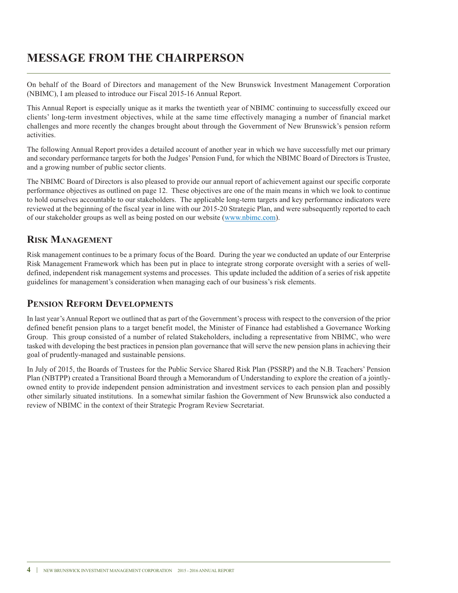## **MessAGe froM THe CHAIrPersoN**

On behalf of the Board of Directors and management of the New Brunswick Investment Management Corporation (NBIMC), I am pleased to introduce our Fiscal 2015-16 Annual Report.

This Annual Report is especially unique as it marks the twentieth year of NBIMC continuing to successfully exceed our clients' long-term investment objectives, while at the same time effectively managing a number of financial market challenges and more recently the changes brought about through the Government of New Brunswick's pension reform activities.

The following Annual Report provides a detailed account of another year in which we have successfully met our primary and secondary performance targets for both the Judges'Pension Fund, for which the NBIMC Board of Directors is Trustee, and a growing number of public sector clients.

The NBIMC Board of Directors is also pleased to provide our annual report of achievement against our specific corporate performance objectives as outlined on page 12. These objectives are one of the main means in which we look to continue to hold ourselves accountable to our stakeholders. The applicable long-term targets and key performance indicators were reviewed at the beginning of the fiscal year in line with our 2015-20 Strategic Plan, and were subsequently reported to each of our stakeholder groups as well as being posted on our website (www.nbimc.com).

### **rIsk MANAGeMeNT**

Risk management continues to be a primary focus of the Board. During the year we conducted an update of our Enterprise Risk Management Framework which has been put in place to integrate strong corporate oversight with a series of welldefined, independent risk management systems and processes. This update included the addition of a series of risk appetite guidelines for management's consideration when managing each of our business's risk elements.

### **PENSION REFORM DEVELOPMENTS**

In last year's Annual Report we outlined that as part of the Government's process with respect to the conversion of the prior defined benefit pension plans to a target benefit model, the Minister of Finance had established a Governance working Group. This group consisted of a number of related Stakeholders, including a representative from NBIMC, who were tasked with developing the best practices in pension plan governance that will serve the new pension plans in achieving their goal of prudently-managed and sustainable pensions.

In July of 2015, the Boards of Trustees for the Public Service Shared Risk Plan (PSSRP) and the N.B. Teachers' Pension Plan (NBTPP) created a Transitional Board through a Memorandum of Understanding to explore the creation of a jointlyowned entity to provide independent pension administration and investment services to each pension plan and possibly other similarly situated institutions. In a somewhat similar fashion the Government of New Brunswick also conducted a review of NBIMC in the context of their Strategic Program Review Secretariat.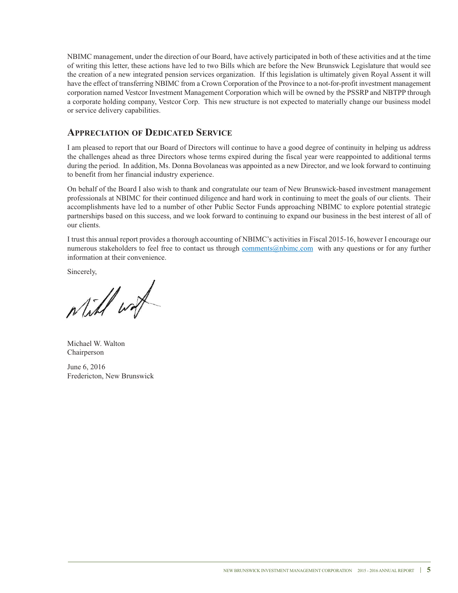NBIMC management, under the direction of our Board, have actively participated in both of these activities and at the time of writing this letter, these actions have led to two Bills which are before the New Brunswick Legislature that would see the creation of a new integrated pension services organization. If this legislation is ultimately given Royal Assent it will have the effect of transferring NBIMC from a Crown Corporation of the Province to a not-for-profit investment management corporation named Vestcor Investment Management Corporation which will be owned by the PSSRP and NBTPP through a corporate holding company, Vestcor Corp. This new structure is not expected to materially change our business model or service delivery capabilities.

### **APPreCIATIoN of DeDICATeD serVICe**

I am pleased to report that our Board of Directors will continue to have a good degree of continuity in helping us address the challenges ahead as three Directors whose terms expired during the fiscal year were reappointed to additional terms during the period. In addition, Ms. Donna Bovolaneas was appointed as a new Director, and we look forward to continuing to benefit from her financial industry experience.

On behalf of the Board I also wish to thank and congratulate our team of New Brunswick-based investment management professionals at NBIMC for their continued diligence and hard work in continuing to meet the goals of our clients. Their accomplishments have led to a number of other Public Sector Funds approaching NBIMC to explore potential strategic partnerships based on this success, and we look forward to continuing to expand our business in the best interest of all of our clients.

I trust this annual report provides a thorough accounting of NBIMC's activities in Fiscal 2015-16, however I encourage our numerous stakeholders to feel free to contact us through comments@nbimc.com with any questions or for any further information at their convenience.

Sincerely,

Will with

Michael w. walton Chairperson

June 6, 2016 Fredericton, New Brunswick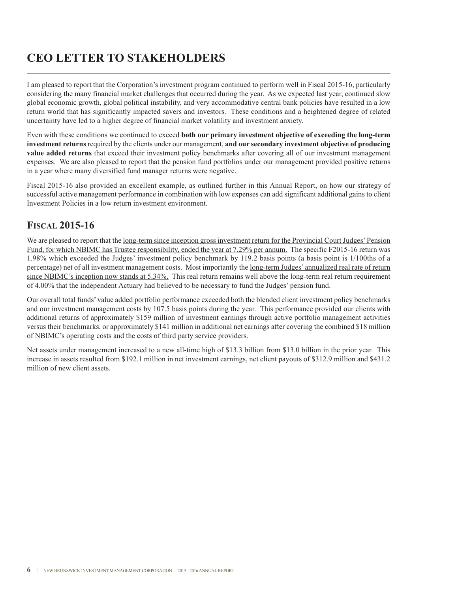## **Ceo LeTTer To sTAkeHoLDers**

I am pleased to report that the Corporation's investment program continued to perform well in Fiscal 2015-16, particularly considering the many financial market challenges that occurred during the year. As we expected last year, continued slow global economic growth, global political instability, and very accommodative central bank policies have resulted in a low return world that has significantly impacted savers and investors. These conditions and a heightened degree of related uncertainty have led to a higher degree of financial market volatility and investment anxiety.

Even with these conditions we continued to exceed **both our primary investment objective of exceeding the long-term investment returns** required by the clients under our management, **and our secondary investment objective of producing value added returns** that exceed their investment policy benchmarks after covering all of our investment management expenses. we are also pleased to report that the pension fund portfolios under our management provided positive returns in a year where many diversified fund manager returns were negative.

Fiscal 2015-16 also provided an excellent example, as outlined further in this Annual Report, on how our strategy of successful active management performance in combination with low expenses can add significant additional gains to client Investment Policies in a low return investment environment.

### **fIsCAL 2015-16**

We are pleased to report that the long-term since inception gross investment return for the Provincial Court Judges' Pension Fund, for which NBIMC has Trustee responsibility, ended the year at 7.29% per annum. The specific F2015-16 return was 1.98% which exceeded the Judges' investment policy benchmark by 119.2 basis points (a basis point is 1/100ths of a percentage) net of all investment management costs. Most importantly the long-term Judges' annualized real rate of return since NBIMC's inception now stands at 5.34%. This real return remains well above the long-term real return requirement of 4.00% that the independent Actuary had believed to be necessary to fund the Judges' pension fund.

Our overall total funds' value added portfolio performance exceeded both the blended client investment policy benchmarks and our investment management costs by 107.5 basis points during the year. This performance provided our clients with additional returns of approximately \$159 million of investment earnings through active portfolio management activities versus their benchmarks, or approximately \$141 million in additional net earnings after covering the combined \$18 million of NBIMC's operating costs and the costs of third party service providers.

Net assets under management increased to a new all-time high of \$13.3 billion from \$13.0 billion in the prior year. This increase in assets resulted from \$192.1 million in net investment earnings, net client payouts of \$312.9 million and \$431.2 million of new client assets.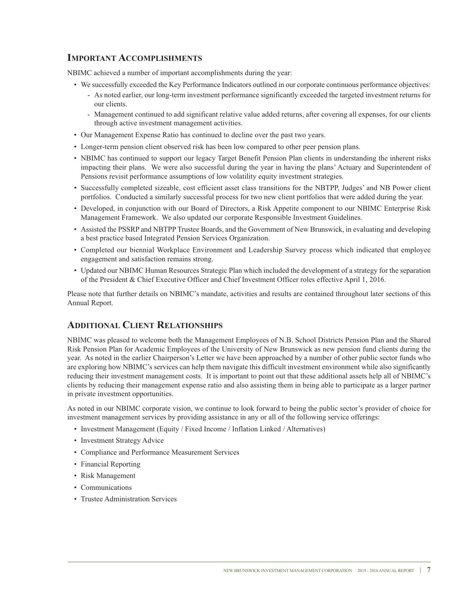### **IMPorTANT ACCoMPLIsHMeNTs**

NBIMC achieved a number of important accomplishments during the year:

- we successfully exceeded the Key Performance Indicators outlined in our corporate continuous performance objectives:
	- As noted earlier, our long-term investment performance significantly exceeded the targeted investment returns for our clients.
	- Management continued to add significant relative value added returns, after covering all expenses, for our clients through active investment management activities.
- Our Management Expense Ratio has continued to decline over the past two years.
- Longer-term pension client observed risk has been low compared to other peer pension plans.
- NBIMC has continued to support our legacy Target Benefit Pension Plan clients in understanding the inherent risks impacting their plans. we were also successful during the year in having the plans' Actuary and Superintendent of Pensions revisit performance assumptions of low volatility equity investment strategies.
- Successfully completed sizeable, cost efficient asset class transitions for the NBTPP, Judges' and NB Power client portfolios. Conducted a similarly successful process for two new client portfolios that were added during the year.
- Developed, in conjunction with our Board of Directors, a Risk Appetite component to our NBIMC Enterprise Risk Management Framework. we also updated our corporate Responsible Investment Guidelines.
- Assisted the PSSRP and NBTPP Trustee Boards, and the Government of New Brunswick, in evaluating and developing a best practice based Integrated Pension Services Organization.
- Completed our biennial workplace Environment and Leadership Survey process which indicated that employee engagement and satisfaction remains strong.
- Updated our NBIMC Human Resources Strategic Plan which included the development of a strategy for the separation of the President & Chief Executive Officer and Chief Investment Officer roles effective April 1, 2016.

Please note that further details on NBIMC's mandate, activities and results are contained throughout later sections of this Annual Report.

### **ADDITIoNAL CLIeNT reLATIoNsHIPs**

NBIMC was pleased to welcome both the Management Employees of N.B. School Districts Pension Plan and the Shared Risk Pension Plan for Academic Employees of the University of New Brunswick as new pension fund clients during the year. As noted in the earlier Chairperson's Letter we have been approached by a number of other public sector funds who are exploring how NBIMC's services can help them navigate this difficult investment environment while also significantly reducing their investment management costs. It is important to point out that these additional assets help all of NBIMC's clients by reducing their management expense ratio and also assisting them in being able to participate as a larger partner in private investment opportunities.

As noted in our NBIMC corporate vision, we continue to look forward to being the public sector's provider of choice for investment management services by providing assistance in any or all of the following service offerings:

- Investment Management (Equity / Fixed Income / Inflation Linked / Alternatives)
- Investment Strategy Advice
- Compliance and Performance Measurement Services
- Financial Reporting
- Risk Management
- Communications
- Trustee Administration Services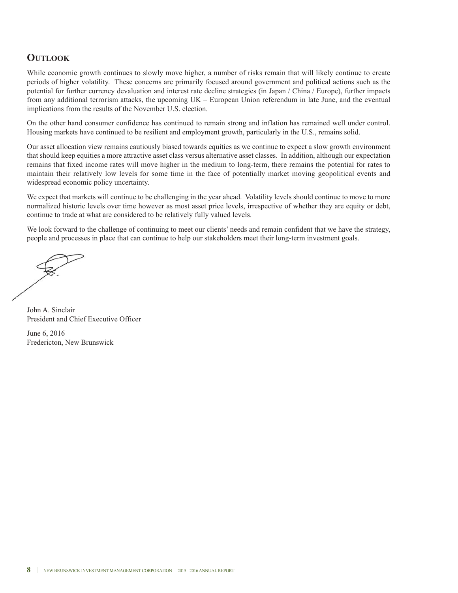### **oUTLook**

While economic growth continues to slowly move higher, a number of risks remain that will likely continue to create periods of higher volatility. These concerns are primarily focused around government and political actions such as the potential for further currency devaluation and interest rate decline strategies (in Japan / China / Europe), further impacts from any additional terrorism attacks, the upcoming UK – European Union referendum in late June, and the eventual implications from the results of the November U.S. election.

On the other hand consumer confidence has continued to remain strong and inflation has remained well under control. Housing markets have continued to be resilient and employment growth, particularly in the U.S., remains solid.

Our asset allocation view remains cautiously biased towards equities as we continue to expect a slow growth environment that should keep equities a more attractive asset class versus alternative asset classes. In addition, although our expectation remains that fixed income rates will move higher in the medium to long-term, there remains the potential for rates to maintain their relatively low levels for some time in the face of potentially market moving geopolitical events and widespread economic policy uncertainty.

we expect that markets will continue to be challenging in the year ahead. Volatility levels should continue to move to more normalized historic levels over time however as most asset price levels, irrespective of whether they are equity or debt, continue to trade at what are considered to be relatively fully valued levels.

We look forward to the challenge of continuing to meet our clients' needs and remain confident that we have the strategy, people and processes in place that can continue to help our stakeholders meet their long-term investment goals.

John A. Sinclair President and Chief Executive Officer

June 6, 2016 Fredericton, New Brunswick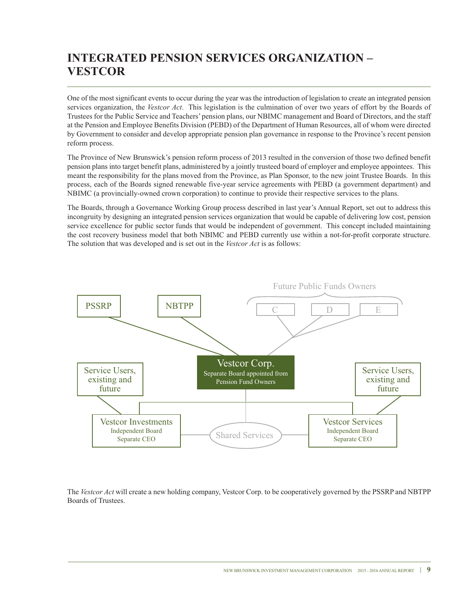## **INTeGrATeD PeNsIoN serVICes orGANIZATIoN – VesTCor**

One of the most significant events to occur during the year was the introduction of legislation to create an integrated pension services organization, the *Vestcor Act*. This legislation is the culmination of over two years of effort by the Boards of Trustees for the Public Service and Teachers' pension plans, our NBIMC management and Board of Directors, and the staff at the Pension and Employee Benefits Division (PEBD) of the Department of Human Resources, all of whom were directed by Government to consider and develop appropriate pension plan governance in response to the Province's recent pension reform process.

The Province of New Brunswick's pension reform process of 2013 resulted in the conversion of those two defined benefit pension plans into target benefit plans, administered by a jointly trusteed board of employer and employee appointees. This meant the responsibility for the plans moved from the Province, as Plan Sponsor, to the new joint Trustee Boards. In this process, each of the Boards signed renewable five-year service agreements with PEBD (a government department) and NBIMC (a provincially-owned crown corporation) to continue to provide their respective services to the plans.

The Boards, through a Governance working Group process described in last year's Annual Report, set out to address this incongruity by designing an integrated pension services organization that would be capable of delivering low cost, pension service excellence for public sector funds that would be independent of government. This concept included maintaining the cost recovery business model that both NBIMC and PEBD currently use within a not-for-profit corporate structure. The solution that was developed and is set out in the *Vestcor Act* is as follows:



The *Vestcor Act* will create a new holding company, Vestcor Corp. to be cooperatively governed by the PSSRP and NBTPP Boards of Trustees.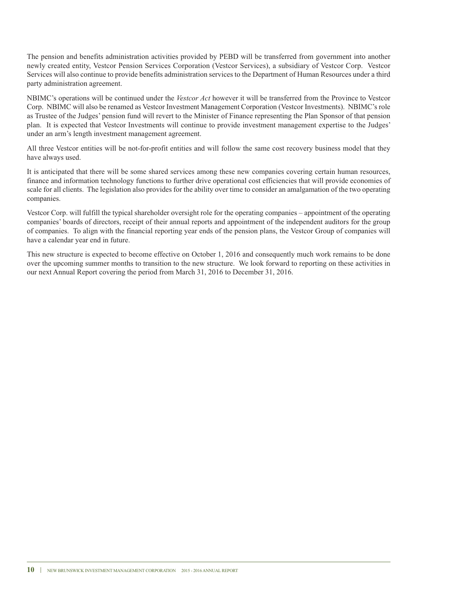The pension and benefits administration activities provided by PEBD will be transferred from government into another newly created entity, Vestcor Pension Services Corporation (Vestcor Services), a subsidiary of Vestcor Corp. Vestcor Services will also continue to provide benefits administration services to the Department of Human Resources under a third party administration agreement.

NBIMC's operations will be continued under the *Vestcor Act* however it will be transferred from the Province to Vestcor Corp. NBIMC will also be renamed as Vestcor Investment Management Corporation (Vestcor Investments). NBIMC's role as Trustee of the Judges' pension fund will revert to the Minister of Finance representing the Plan Sponsor of that pension plan. It is expected that Vestcor Investments will continue to provide investment management expertise to the Judges' under an arm's length investment management agreement.

All three Vestcor entities will be not-for-profit entities and will follow the same cost recovery business model that they have always used.

It is anticipated that there will be some shared services among these new companies covering certain human resources, finance and information technology functions to further drive operational cost efficiencies that will provide economies of scale for all clients. The legislation also provides for the ability over time to consider an amalgamation of the two operating companies.

Vestcor Corp. will fulfill the typical shareholder oversight role for the operating companies – appointment of the operating companies' boards of directors, receipt of their annual reports and appointment of the independent auditors for the group of companies. To align with the financial reporting year ends of the pension plans, the Vestcor Group of companies will have a calendar year end in future.

This new structure is expected to become effective on October 1, 2016 and consequently much work remains to be done over the upcoming summer months to transition to the new structure. we look forward to reporting on these activities in our next Annual Report covering the period from March 31, 2016 to December 31, 2016.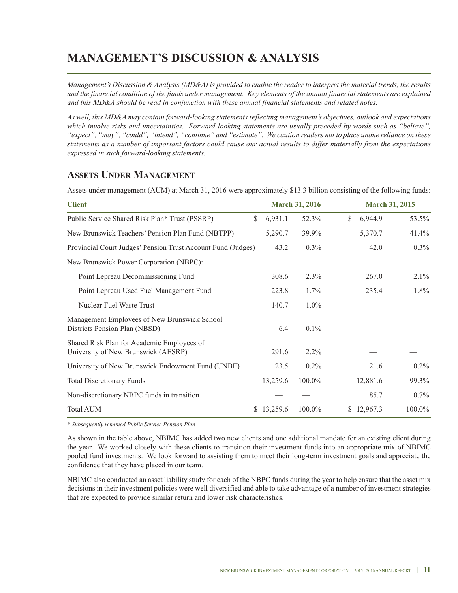## **MANAGeMeNT's DIsCUssIoN & ANALYsIs**

Management's Discussion & Analysis (MD&A) is provided to enable the reader to interpret the material trends, the results and the financial condition of the funds under management. Key elements of the annual financial statements are explained *and this MD&A should be read in conjunction with these annual financial statements and related notes.*

*As well, this MD&A may contain forward-looking statements reflecting management's objectives, outlook and expectations which involve risks and uncertainties. Forward-looking statements are usually preceded by words such as "believe",* "expect", "may", "could", "intend", "continue" and "estimate". We caution readers not to place undue reliance on these statements as a number of important factors could cause our actual results to differ materially from the expectations *expressed in such forward-looking statements.*

### **AsseTs UNDer MANAGeMeNT**

Assets under management (AUM) at March 31, 2016 were approximately \$13.3 billion consisting of the following funds:

| <b>Client</b>                                                                     |              |          | <b>March 31, 2016</b> | <b>March 31, 2015</b> |         |  |
|-----------------------------------------------------------------------------------|--------------|----------|-----------------------|-----------------------|---------|--|
| Public Service Shared Risk Plan* Trust (PSSRP)                                    | \$           | 6,931.1  | 52.3%                 | \$<br>6,944.9         | 53.5%   |  |
| New Brunswick Teachers' Pension Plan Fund (NBTPP)                                 |              | 5,290.7  | 39.9%                 | 5,370.7               | 41.4%   |  |
| Provincial Court Judges' Pension Trust Account Fund (Judges)                      |              | 43.2     | $0.3\%$               | 42.0                  | $0.3\%$ |  |
| New Brunswick Power Corporation (NBPC):                                           |              |          |                       |                       |         |  |
| Point Lepreau Decommissioning Fund                                                |              | 308.6    | 2.3%                  | 267.0                 | 2.1%    |  |
| Point Lepreau Used Fuel Management Fund                                           |              | 223.8    | $1.7\%$               | 235.4                 | 1.8%    |  |
| Nuclear Fuel Waste Trust                                                          |              | 140.7    | $1.0\%$               |                       |         |  |
| Management Employees of New Brunswick School<br>Districts Pension Plan (NBSD)     |              | 6.4      | $0.1\%$               |                       |         |  |
| Shared Risk Plan for Academic Employees of<br>University of New Brunswick (AESRP) |              | 291.6    | $2.2\%$               |                       |         |  |
| University of New Brunswick Endowment Fund (UNBE)                                 |              | 23.5     | 0.2%                  | 21.6                  | $0.2\%$ |  |
| <b>Total Discretionary Funds</b>                                                  |              | 13,259.6 | 100.0%                | 12,881.6              | 99.3%   |  |
| Non-discretionary NBPC funds in transition                                        |              |          |                       | 85.7                  | $0.7\%$ |  |
| <b>Total AUM</b>                                                                  | <sup>S</sup> | 13,259.6 | 100.0%                | \$12,967.3            | 100.0%  |  |

*\* Subsequently renamed Public Service Pension Plan*

As shown in the table above, NBIMC has added two new clients and one additional mandate for an existing client during the year. we worked closely with these clients to transition their investment funds into an appropriate mix of NBIMC pooled fund investments. we look forward to assisting them to meet their long-term investment goals and appreciate the confidence that they have placed in our team.

NBIMC also conducted an asset liability study for each of the NBPC funds during the year to help ensure that the asset mix decisions in their investment policies were well diversified and able to take advantage of a number of investment strategies that are expected to provide similar return and lower risk characteristics.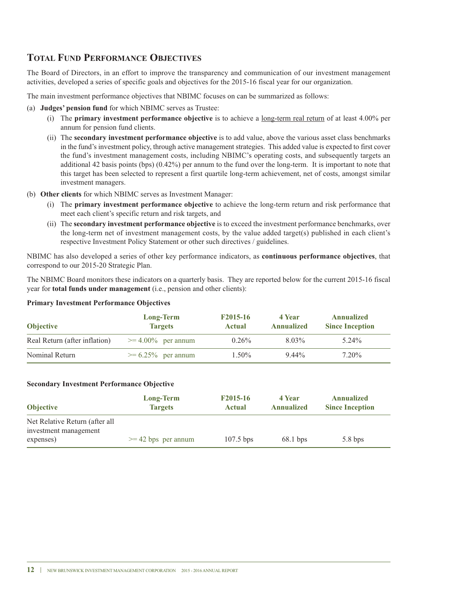### **ToTAL fUND PerforMANCe obJeCTIVes**

The Board of Directors, in an effort to improve the transparency and communication of our investment management activities, developed a series of specific goals and objectives for the 2015-16 fiscal year for our organization.

The main investment performance objectives that NBIMC focuses on can be summarized as follows:

- (a) **Judges' pension fund** for which NBIMC serves as Trustee:
	- (i) The **primary investment performance objective** is to achieve a long-term real return of at least 4.00% per annum for pension fund clients.
	- (ii) The **secondary investment performance objective** is to add value, above the various asset class benchmarks in the fund's investment policy, through active management strategies. This added value is expected to first cover the fund's investment management costs, including NBIMC's operating costs, and subsequently targets an additional 42 basis points (bps) (0.42%) per annum to the fund over the long-term. It is important to note that this target has been selected to represent a first quartile long-term achievement, net of costs, amongst similar investment managers.
- (b) **other clients** for which NBIMC serves as Investment Manager:
	- (i) The **primary investment performance objective** to achieve the long-term return and risk performance that meet each client's specific return and risk targets, and
	- (ii) The **secondary investment performance objective** is to exceed the investment performance benchmarks, over the long-term net of investment management costs, by the value added target(s) published in each client's respective Investment Policy Statement or other such directives / guidelines.

NBIMC has also developed a series of other key performance indicators, as **continuous performance objectives**, that correspond to our 2015-20 Strategic Plan.

The NBIMC Board monitors these indicators on a quarterly basis. They are reported below for the current 2015-16 fiscal year for **total funds under management** (i.e., pension and other clients):

#### **Primary Investment Performance objectives**

| <b>Objective</b>              | Long-Term<br><b>Targets</b> | F <sub>2015</sub> -16<br>Actual | 4 Year<br><b>Annualized</b> | Annualized<br><b>Since Inception</b> |
|-------------------------------|-----------------------------|---------------------------------|-----------------------------|--------------------------------------|
| Real Return (after inflation) | $\geq$ 4.00% per annum      | $0.26\%$                        | 8.03%                       | 5.24%                                |
| Nominal Return                | $\geq 6.25\%$ per annum     | 1.50%                           | $9.44\%$                    | 7.20%                                |

#### **secondary Investment Performance objective**

| <b>Objective</b>                                                     | <b>Long-Term</b>      | F2015-16      | 4 Year            | <b>Annualized</b>      |
|----------------------------------------------------------------------|-----------------------|---------------|-------------------|------------------------|
|                                                                      | <b>Targets</b>        | <b>Actual</b> | <b>Annualized</b> | <b>Since Inception</b> |
| Net Relative Return (after all<br>investment management<br>expenses) | $>= 42$ bps per annum | $107.5$ bps   | $68.1$ bps        | $5.8$ bps              |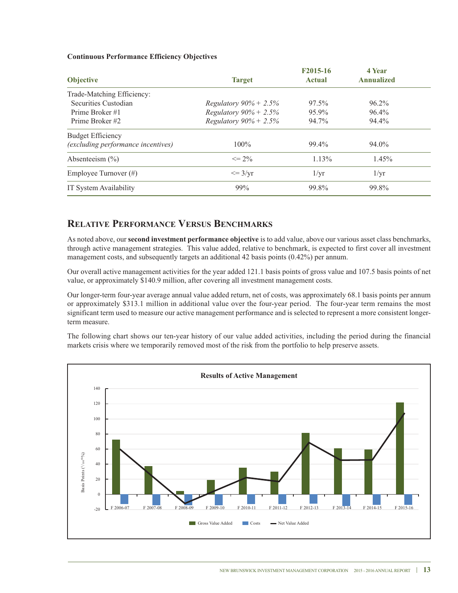#### **Continuous Performance efficiency objectives**

|                                           |                                  | F2015-16      | 4 Year            |  |
|-------------------------------------------|----------------------------------|---------------|-------------------|--|
| <b>Objective</b>                          | <b>Target</b>                    | <b>Actual</b> | <b>Annualized</b> |  |
| Trade-Matching Efficiency:                |                                  |               |                   |  |
| Securities Custodian                      | <i>Regulatory</i> $90\% + 2.5\%$ | 97.5%         | $96.2\%$          |  |
| Prime Broker #1                           | <i>Regulatory</i> $90\% + 2.5\%$ | 95.9%         | $96.4\%$          |  |
| Prime Broker #2                           | <i>Regulatory</i> $90\% + 2.5\%$ | 94.7%         | 94.4%             |  |
| <b>Budget Efficiency</b>                  |                                  |               |                   |  |
| <i>(excluding performance incentives)</i> | $100\%$                          | 99.4%         | 94.0%             |  |
| Absenteeism $(\% )$                       | $\leq$ 2%                        | $1.13\%$      | 1.45%             |  |
| Employee Turnover $(\#)$                  | $\leq$ 3/yr                      | 1/yr          | $1/\mathrm{yr}$   |  |
| IT System Availability                    | 99%                              | 99.8%         | 99.8%             |  |

### **RELATIVE PERFORMANCE VERSUS BENCHMARKS**

As noted above, our **second investment performance objective** is to add value, above our various asset class benchmarks, through active management strategies. This value added, relative to benchmark, is expected to first cover all investment management costs, and subsequently targets an additional 42 basis points (0.42%) per annum.

Our overall active management activities for the year added 121.1 basis points of gross value and 107.5 basis points of net value, or approximately \$140.9 million, after covering all investment management costs.

Our longer-term four-year average annual value added return, net of costs, was approximately 68.1 basis points per annum or approximately \$313.1 million in additional value over the four-year period. The four-year term remains the most significant term used to measure our active management performance and is selected to represent a more consistent longerterm measure.

The following chart shows our ten-year history of our value added activities, including the period during the financial markets crisis where we temporarily removed most of the risk from the portfolio to help preserve assets.

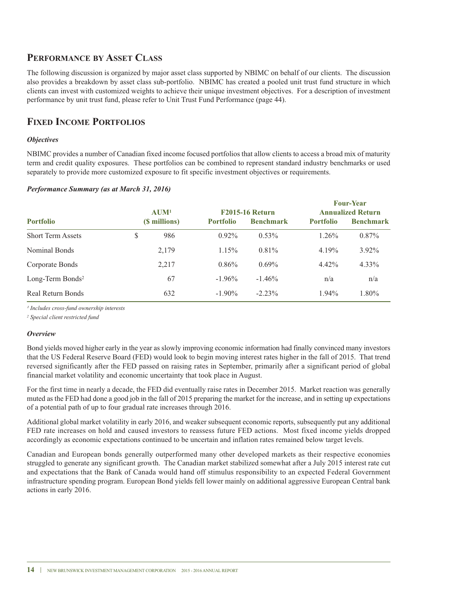### **PerforMANCe bY AsseT CLAss**

The following discussion is organized by major asset class supported by NBIMC on behalf of our clients. The discussion also provides a breakdown by asset class sub-portfolio. NBIMC has created a pooled unit trust fund structure in which clients can invest with customized weights to achieve their unique investment objectives. For a description of investment performance by unit trust fund, please refer to Unit Trust Fund Performance (page 44).

### **fIxeD INCoMe PorTfoLIos**

#### *Objectives*

NBIMC provides a number of Canadian fixed income focused portfolios that allow clients to access a broad mix of maturity term and credit quality exposures. These portfolios can be combined to represent standard industry benchmarks or used separately to provide more customized exposure to fit specific investment objectives or requirements.

#### *Performance Summary (as at March 31, 2016)*

|                     |       |                  |                  |                          | <b>Four-Year</b> |
|---------------------|-------|------------------|------------------|--------------------------|------------------|
| $A$ UM <sup>1</sup> |       |                  |                  | <b>Annualized Return</b> |                  |
|                     |       | <b>Portfolio</b> | <b>Benchmark</b> | <b>Portfolio</b>         | <b>Benchmark</b> |
| \$                  | 986   | $0.92\%$         | $0.53\%$         | $1.26\%$                 | $0.87\%$         |
|                     | 2,179 | $1.15\%$         | 0.81%            | 4.19%                    | $3.92\%$         |
|                     | 2,217 | $0.86\%$         | $0.69\%$         | $4.42\%$                 | $4.33\%$         |
|                     | 67    | $-1.96\%$        | $-1.46%$         | n/a                      | n/a              |
|                     | 632   | $-1.90\%$        | $-2.23\%$        | $1.94\%$                 | 1.80%            |
|                     |       | (\$ millions)    |                  | <b>F2015-16 Return</b>   |                  |

*¹ Includes cross-fund ownership interests*

*<sup>2</sup> Special client restricted fund*

#### *Overview*

Bond yields moved higher early in the year as slowly improving economic information had finally convinced many investors that the US Federal Reserve Board (FED) would look to begin moving interest rates higher in the fall of 2015. That trend reversed significantly after the FED passed on raising rates in September, primarily after a significant period of global financial market volatility and economic uncertainty that took place in August.

For the first time in nearly a decade, the FED did eventually raise rates in December 2015. Market reaction was generally muted as the FED had done a good job in the fall of 2015 preparing the market for the increase, and in setting up expectations of a potential path of up to four gradual rate increases through 2016.

Additional global market volatility in early 2016, and weaker subsequent economic reports, subsequently put any additional FED rate increases on hold and caused investors to reassess future FED actions. Most fixed income yields dropped accordingly as economic expectations continued to be uncertain and inflation rates remained below target levels.

Canadian and European bonds generally outperformed many other developed markets as their respective economies struggled to generate any significant growth. The Canadian market stabilized somewhat after a July 2015 interest rate cut and expectations that the Bank of Canada would hand off stimulus responsibility to an expected Federal Government infrastructure spending program. European Bond yields fell lower mainly on additional aggressive European Central bank actions in early 2016.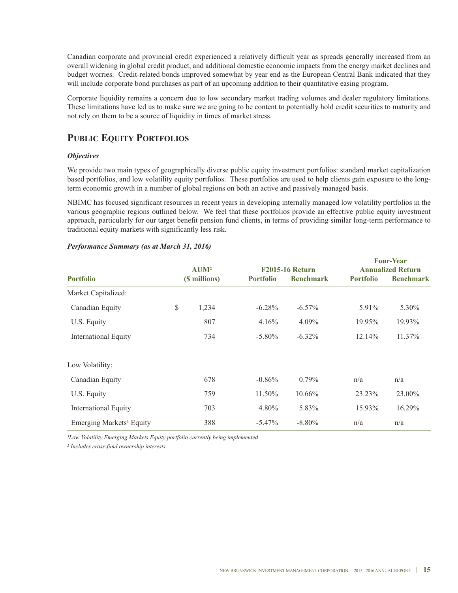Canadian corporate and provincial credit experienced a relatively difficult year as spreads generally increased from an overall widening in global credit product, and additional domestic economic impacts from the energy market declines and budget worries. Credit-related bonds improved somewhat by year end as the European Central Bank indicated that they will include corporate bond purchases as part of an upcoming addition to their quantitative easing program.

Corporate liquidity remains a concern due to low secondary market trading volumes and dealer regulatory limitations. These limitations have led us to make sure we are going to be content to potentially hold credit securities to maturity and not rely on them to be a source of liquidity in times of market stress.

### **PUBLIC EQUITY PORTFOLIOS**

#### *Objectives*

We provide two main types of geographically diverse public equity investment portfolios: standard market capitalization based portfolios, and low volatility equity portfolios. These portfolios are used to help clients gain exposure to the longterm economic growth in a number of global regions on both an active and passively managed basis.

NBIMC has focused significant resources in recent years in developing internally managed low volatility portfolios in the various geographic regions outlined below. we feel that these portfolios provide an effective public equity investment approach, particularly for our target benefit pension fund clients, in terms of providing similar long-term performance to traditional equity markets with significantly less risk.

|                                      | <b>AUM<sup>2</sup></b> |               |                  | <b>F2015-16 Return</b> | rvar-rvar<br><b>Annualized Return</b> |                  |
|--------------------------------------|------------------------|---------------|------------------|------------------------|---------------------------------------|------------------|
| <b>Portfolio</b>                     |                        | (\$ millions) | <b>Portfolio</b> | <b>Benchmark</b>       | <b>Portfolio</b>                      | <b>Benchmark</b> |
| Market Capitalized:                  |                        |               |                  |                        |                                       |                  |
| Canadian Equity                      | $\mathbb{S}$           | 1,234         | $-6.28\%$        | $-6.57\%$              | 5.91%                                 | 5.30%            |
| U.S. Equity                          |                        | 807           | 4.16%            | 4.09%                  | 19.95%                                | 19.93%           |
| International Equity                 |                        | 734           | $-5.80\%$        | $-6.32\%$              | 12.14%                                | 11.37%           |
| Low Volatility:                      |                        |               |                  |                        |                                       |                  |
| Canadian Equity                      |                        | 678           | $-0.86%$         | $0.79\%$               | n/a                                   | n/a              |
| U.S. Equity                          |                        | 759           | 11.50%           | $10.66\%$              | 23.23%                                | 23.00%           |
| <b>International Equity</b>          |                        | 703           | 4.80%            | 5.83%                  | 15.93%                                | 16.29%           |
| Emerging Markets <sup>1</sup> Equity |                        | 388           | $-5.47\%$        | $-8.80\%$              | n/a                                   | n/a              |

#### *Performance Summary (as at March 31, 2016)*

*¹Low Volatility Emerging Markets Equity portfolio currently being implemented*

*<sup>2</sup> Includes cross-fund ownership interests*

**four-Year**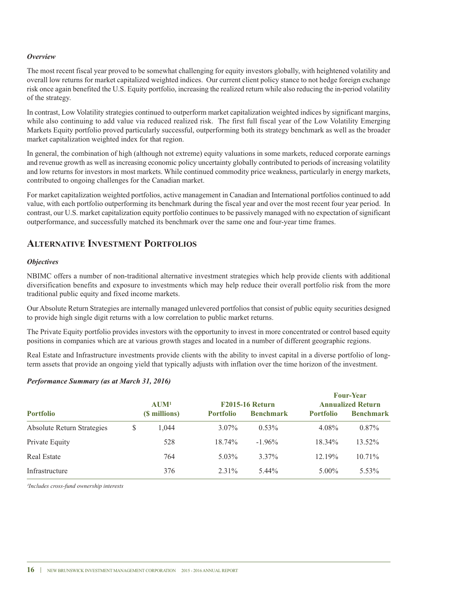#### *Overview*

The most recent fiscal year proved to be somewhat challenging for equity investors globally, with heightened volatility and overall low returns for market capitalized weighted indices. Our current client policy stance to not hedge foreign exchange risk once again benefited the U.S. Equity portfolio, increasing the realized return while also reducing the in-period volatility of the strategy.

In contrast, Low Volatility strategies continued to outperform market capitalization weighted indices by significant margins, while also continuing to add value via reduced realized risk. The first full fiscal year of the Low Volatility Emerging Markets Equity portfolio proved particularly successful, outperforming both its strategy benchmark as well as the broader market capitalization weighted index for that region.

In general, the combination of high (although not extreme) equity valuations in some markets, reduced corporate earnings and revenue growth as well as increasing economic policy uncertainty globally contributed to periods of increasing volatility and low returns for investors in most markets. while continued commodity price weakness, particularly in energy markets, contributed to ongoing challenges for the Canadian market.

For market capitalization weighted portfolios, active management in Canadian and International portfolios continued to add value, with each portfolio outperforming its benchmark during the fiscal year and over the most recent four year period. In contrast, our U.S. market capitalization equity portfolio continues to be passively managed with no expectation of significant outperformance, and successfully matched its benchmark over the same one and four-year time frames.

### **ALTerNATIVe INVesTMeNT PorTfoLIos**

#### *Objectives*

NBIMC offers a number of non-traditional alternative investment strategies which help provide clients with additional diversification benefits and exposure to investments which may help reduce their overall portfolio risk from the more traditional public equity and fixed income markets.

Our Absolute Return Strategies are internally managed unlevered portfolios that consist of public equity securities designed to provide high single digit returns with a low correlation to public market returns.

The Private Equity portfolio provides investors with the opportunity to invest in more concentrated or control based equity positions in companies which are at various growth stages and located in a number of different geographic regions.

Real Estate and Infrastructure investments provide clients with the ability to invest capital in a diverse portfolio of longterm assets that provide an ongoing yield that typically adjusts with inflation over the time horizon of the investment.

#### *Performance Summary (as at March 31, 2016)*

|                                   |   |                     |                        |                  |                          | <b>Four-Year</b> |
|-----------------------------------|---|---------------------|------------------------|------------------|--------------------------|------------------|
|                                   |   | $A$ UM <sup>1</sup> | <b>F2015-16 Return</b> |                  | <b>Annualized Return</b> |                  |
| <b>Portfolio</b>                  |   | (\$ millions)       | <b>Portfolio</b>       | <b>Benchmark</b> | <b>Portfolio</b>         | <b>Benchmark</b> |
| <b>Absolute Return Strategies</b> | S | 1.044               | $3.07\%$               | $0.53\%$         | 4.08%                    | $0.87\%$         |
| Private Equity                    |   | 528                 | 18.74%                 | $-1.96\%$        | 18.34%                   | 13.52%           |
| <b>Real Estate</b>                |   | 764                 | $5.03\%$               | $3.37\%$         | $12.19\%$                | $10.71\%$        |
| Infrastructure                    |   | 376                 | $2.31\%$               | 5.44%            | $5.00\%$                 | $5.53\%$         |

*¹Includes cross-fund ownership interests*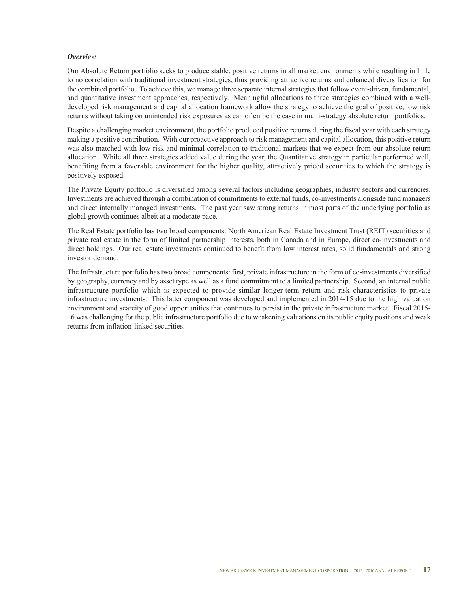#### *Overview*

Our Absolute Return portfolio seeks to produce stable, positive returns in all market environments while resulting in little to no correlation with traditional investment strategies, thus providing attractive returns and enhanced diversification for the combined portfolio. To achieve this, we manage three separate internal strategies that follow event-driven, fundamental, and quantitative investment approaches, respectively. Meaningful allocations to three strategies combined with a welldeveloped risk management and capital allocation framework allow the strategy to achieve the goal of positive, low risk returns without taking on unintended risk exposures as can often be the case in multi-strategy absolute return portfolios.

Despite a challenging market environment, the portfolio produced positive returns during the fiscal year with each strategy making a positive contribution. with our proactive approach to risk management and capital allocation, this positive return was also matched with low risk and minimal correlation to traditional markets that we expect from our absolute return allocation. while all three strategies added value during the year, the Quantitative strategy in particular performed well, benefiting from a favorable environment for the higher quality, attractively priced securities to which the strategy is positively exposed.

The Private Equity portfolio is diversified among several factors including geographies, industry sectors and currencies. Investments are achieved through a combination of commitments to external funds, co-investments alongside fund managers and direct internally managed investments. The past year saw strong returns in most parts of the underlying portfolio as global growth continues albeit at a moderate pace.

The Real Estate portfolio has two broad components: North American Real Estate Investment Trust (REIT) securities and private real estate in the form of limited partnership interests, both in Canada and in Europe, direct co-investments and direct holdings. Our real estate investments continued to benefit from low interest rates, solid fundamentals and strong investor demand.

The Infrastructure portfolio has two broad components: first, private infrastructure in the form of co-investments diversified by geography, currency and by asset type as well as a fund commitment to a limited partnership. Second, an internal public infrastructure portfolio which is expected to provide similar longer-term return and risk characteristics to private infrastructure investments. This latter component was developed and implemented in 2014-15 due to the high valuation environment and scarcity of good opportunities that continues to persist in the private infrastructure market. Fiscal 2015- 16 was challenging for the public infrastructure portfolio due to weakening valuations on its public equity positions and weak returns from inflation-linked securities.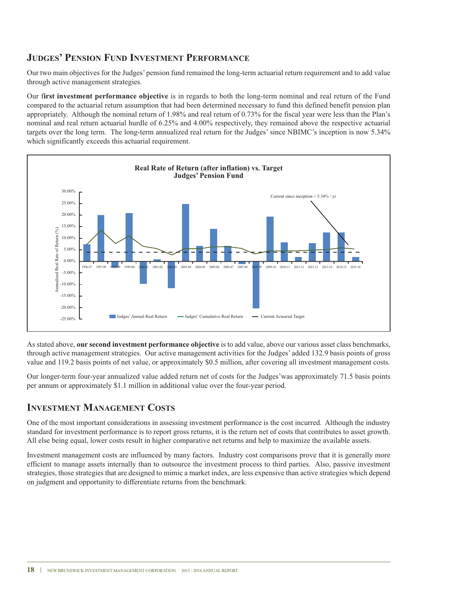### **JUDGes' PeNsIoN fUND INVesTMeNT PerforMANCe**

Our two main objectives for the Judges' pension fund remained the long-term actuarial return requirement and to add value through active management strategies.

Our f**irst investment performance objective** is in regards to both the long-term nominal and real return of the Fund compared to the actuarial return assumption that had been determined necessary to fund this defined benefit pension plan appropriately. Although the nominal return of 1.98% and real return of 0.73% for the fiscal year were less than the Plan's nominal and real return actuarial hurdle of 6.25% and 4.00% respectively, they remained above the respective actuarial targets over the long term. The long-term annualized real return for the Judges' since NBIMC's inception is now 5.34% which significantly exceeds this actuarial requirement.



As stated above, **our second investment performance objective** is to add value, above our various asset class benchmarks, through active management strategies. Our active management activities for the Judges' added 132.9 basis points of gross value and 119.2 basis points of net value, or approximately \$0.5 million, after covering all investment management costs.

Our longer-term four-year annualized value added return net of costs for the Judges'was approximately 71.5 basis points per annum or approximately \$1.1 million in additional value over the four-year period.

### **INVesTMeNT MANAGeMeNT CosTs**

One of the most important considerations in assessing investment performance is the cost incurred. Although the industry standard for investment performance is to report gross returns, it is the return net of costs that contributes to asset growth. All else being equal, lower costs result in higher comparative net returns and help to maximize the available assets.

Investment management costs are influenced by many factors. Industry cost comparisons prove that it is generally more efficient to manage assets internally than to outsource the investment process to third parties. Also, passive investment strategies, those strategies that are designed to mimic a market index, are less expensive than active strategies which depend on judgment and opportunity to differentiate returns from the benchmark.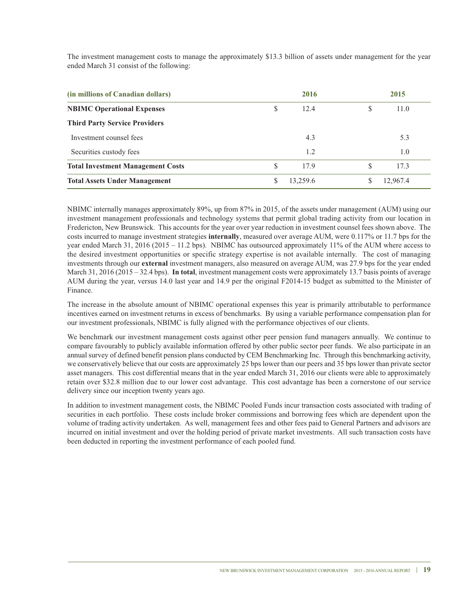The investment management costs to manage the approximately \$13.3 billion of assets under management for the year ended March 31 consist of the following:

| (in millions of Canadian dollars)        |   | 2016     |   | 2015     |  |
|------------------------------------------|---|----------|---|----------|--|
| <b>NBIMC Operational Expenses</b>        | S | 12.4     | S | 11.0     |  |
| <b>Third Party Service Providers</b>     |   |          |   |          |  |
| Investment counsel fees                  |   | 4.3      |   | 5.3      |  |
| Securities custody fees                  |   | 1.2      |   | 1.0      |  |
| <b>Total Investment Management Costs</b> | S | 17.9     | S | 17.3     |  |
| <b>Total Assets Under Management</b>     | S | 13.259.6 | S | 12.967.4 |  |

NBIMC internally manages approximately 89%, up from 87% in 2015, of the assets under management (AUM) using our investment management professionals and technology systems that permit global trading activity from our location in Fredericton, New Brunswick. This accounts for the year over year reduction in investment counsel fees shown above. The costs incurred to manage investment strategies **internally**, measured over average AUM, were 0.117% or 11.7 bps for the year ended March 31, 2016 (2015 – 11.2 bps). NBIMC has outsourced approximately 11% of the AUM where access to the desired investment opportunities or specific strategy expertise is not available internally. The cost of managing investments through our **external** investment managers, also measured on average AUM, was 27.9 bps for the year ended March 31, 2016 (2015 – 32.4 bps). **In total**, investment management costs were approximately 13.7 basis points of average AUM during the year, versus 14.0 last year and 14.9 per the original F2014-15 budget as submitted to the Minister of Finance.

The increase in the absolute amount of NBIMC operational expenses this year is primarily attributable to performance incentives earned on investment returns in excess of benchmarks. By using a variable performance compensation plan for our investment professionals, NBIMC is fully aligned with the performance objectives of our clients.

we benchmark our investment management costs against other peer pension fund managers annually. we continue to compare favourably to publicly available information offered by other public sector peer funds. we also participate in an annual survey of defined benefit pension plans conducted by CEM Benchmarking Inc. Through this benchmarking activity, we conservatively believe that our costs are approximately 25 bps lower than our peers and 35 bps lower than private sector asset managers. This cost differential means that in the year ended March 31, 2016 our clients were able to approximately retain over \$32.8 million due to our lower cost advantage. This cost advantage has been a cornerstone of our service delivery since our inception twenty years ago.

In addition to investment management costs, the NBIMC Pooled Funds incur transaction costs associated with trading of securities in each portfolio. These costs include broker commissions and borrowing fees which are dependent upon the volume of trading activity undertaken. As well, management fees and other fees paid to General Partners and advisors are incurred on initial investment and over the holding period of private market investments. All such transaction costs have been deducted in reporting the investment performance of each pooled fund.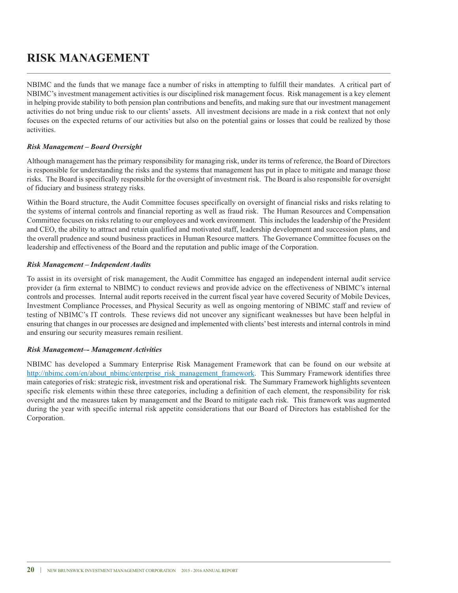## **rIsk MANAGeMeNT**

NBIMC and the funds that we manage face a number of risks in attempting to fulfill their mandates. A critical part of NBIMC's investment management activities is our disciplined risk management focus. Risk management is a key element in helping provide stability to both pension plan contributions and benefits, and making sure that our investment management activities do not bring undue risk to our clients' assets. All investment decisions are made in a risk context that not only focuses on the expected returns of our activities but also on the potential gains or losses that could be realized by those activities.

#### *Risk Management – Board Oversight*

Although management has the primary responsibility for managing risk, under its terms of reference, the Board of Directors is responsible for understanding the risks and the systems that management has put in place to mitigate and manage those risks. The Board is specifically responsible for the oversight of investment risk. The Board is also responsible for oversight of fiduciary and business strategy risks.

within the Board structure, the Audit Committee focuses specifically on oversight of financial risks and risks relating to the systems of internal controls and financial reporting as well as fraud risk. The Human Resources and Compensation Committee focuses on risks relating to our employees and work environment. This includes the leadership of the President and CEO, the ability to attract and retain qualified and motivated staff, leadership development and succession plans, and the overall prudence and sound business practices in Human Resource matters. The Governance Committee focuses on the leadership and effectiveness of the Board and the reputation and public image of the Corporation.

#### *Risk Management – Independent Audits*

To assist in its oversight of risk management, the Audit Committee has engaged an independent internal audit service provider (a firm external to NBIMC) to conduct reviews and provide advice on the effectiveness of NBIMC's internal controls and processes. Internal audit reports received in the current fiscal year have covered Security of Mobile Devices, Investment Compliance Processes, and Physical Security as well as ongoing mentoring of NBIMC staff and review of testing of NBIMC's IT controls. These reviews did not uncover any significant weaknesses but have been helpful in ensuring that changes in our processes are designed and implemented with clients' best interests and internal controls in mind and ensuring our security measures remain resilient.

#### *Risk Management–- Management Activities*

NBIMC has developed a Summary Enterprise Risk Management Framework that can be found on our website at http://nbimc.com/en/about\_nbimc/enterprise\_risk\_management\_framework. This Summary Framework identifies three main categories of risk: strategic risk, investment risk and operational risk. The Summary Framework highlights seventeen specific risk elements within these three categories, including a definition of each element, the responsibility for risk oversight and the measures taken by management and the Board to mitigate each risk. This framework was augmented during the year with specific internal risk appetite considerations that our Board of Directors has established for the Corporation.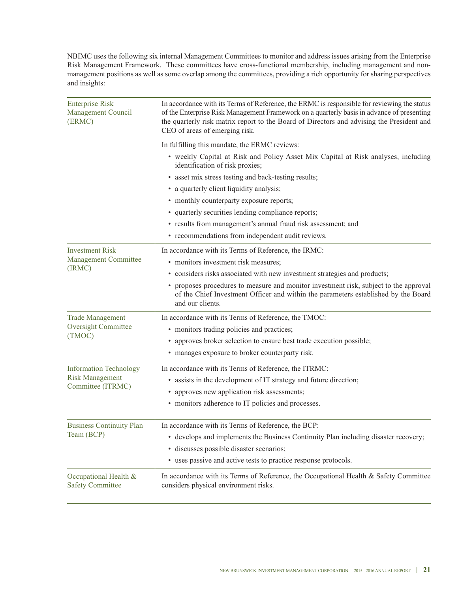NBIMC uses the following six internal Management Committees to monitor and address issues arising from the Enterprise Risk Management Framework. These committees have cross-functional membership, including management and nonmanagement positions as well as some overlap among the committees, providing a rich opportunity for sharing perspectives and insights:

| <b>Enterprise Risk</b><br>Management Council<br>(ERMC)                                                                                                                             | In accordance with its Terms of Reference, the ERMC is responsible for reviewing the status<br>of the Enterprise Risk Management Framework on a quarterly basis in advance of presenting<br>the quarterly risk matrix report to the Board of Directors and advising the President and<br>CEO of areas of emerging risk. |  |  |  |  |  |
|------------------------------------------------------------------------------------------------------------------------------------------------------------------------------------|-------------------------------------------------------------------------------------------------------------------------------------------------------------------------------------------------------------------------------------------------------------------------------------------------------------------------|--|--|--|--|--|
|                                                                                                                                                                                    | In fulfilling this mandate, the ERMC reviews:                                                                                                                                                                                                                                                                           |  |  |  |  |  |
|                                                                                                                                                                                    | • weekly Capital at Risk and Policy Asset Mix Capital at Risk analyses, including<br>identification of risk proxies;                                                                                                                                                                                                    |  |  |  |  |  |
|                                                                                                                                                                                    | • asset mix stress testing and back-testing results;                                                                                                                                                                                                                                                                    |  |  |  |  |  |
|                                                                                                                                                                                    | • a quarterly client liquidity analysis;                                                                                                                                                                                                                                                                                |  |  |  |  |  |
|                                                                                                                                                                                    | • monthly counterparty exposure reports;                                                                                                                                                                                                                                                                                |  |  |  |  |  |
|                                                                                                                                                                                    | • quarterly securities lending compliance reports;                                                                                                                                                                                                                                                                      |  |  |  |  |  |
|                                                                                                                                                                                    | · results from management's annual fraud risk assessment; and                                                                                                                                                                                                                                                           |  |  |  |  |  |
|                                                                                                                                                                                    | • recommendations from independent audit reviews.                                                                                                                                                                                                                                                                       |  |  |  |  |  |
| <b>Investment Risk</b>                                                                                                                                                             | In accordance with its Terms of Reference, the IRMC:                                                                                                                                                                                                                                                                    |  |  |  |  |  |
| Management Committee<br>(IRMC)                                                                                                                                                     | • monitors investment risk measures;                                                                                                                                                                                                                                                                                    |  |  |  |  |  |
|                                                                                                                                                                                    | • considers risks associated with new investment strategies and products;                                                                                                                                                                                                                                               |  |  |  |  |  |
|                                                                                                                                                                                    | • proposes procedures to measure and monitor investment risk, subject to the approval<br>of the Chief Investment Officer and within the parameters established by the Board<br>and our clients.                                                                                                                         |  |  |  |  |  |
| <b>Trade Management</b>                                                                                                                                                            | In accordance with its Terms of Reference, the TMOC:                                                                                                                                                                                                                                                                    |  |  |  |  |  |
| <b>Oversight Committee</b>                                                                                                                                                         | • monitors trading policies and practices;                                                                                                                                                                                                                                                                              |  |  |  |  |  |
| (TMOC)                                                                                                                                                                             | • approves broker selection to ensure best trade execution possible;                                                                                                                                                                                                                                                    |  |  |  |  |  |
|                                                                                                                                                                                    | • manages exposure to broker counterparty risk.                                                                                                                                                                                                                                                                         |  |  |  |  |  |
| <b>Information Technology</b>                                                                                                                                                      | In accordance with its Terms of Reference, the ITRMC:                                                                                                                                                                                                                                                                   |  |  |  |  |  |
| <b>Risk Management</b>                                                                                                                                                             | • assists in the development of IT strategy and future direction;                                                                                                                                                                                                                                                       |  |  |  |  |  |
| Committee (ITRMC)                                                                                                                                                                  | • approves new application risk assessments;                                                                                                                                                                                                                                                                            |  |  |  |  |  |
|                                                                                                                                                                                    | • monitors adherence to IT policies and processes.                                                                                                                                                                                                                                                                      |  |  |  |  |  |
| <b>Business Continuity Plan</b>                                                                                                                                                    | In accordance with its Terms of Reference, the BCP:                                                                                                                                                                                                                                                                     |  |  |  |  |  |
| Team (BCP)                                                                                                                                                                         | • develops and implements the Business Continuity Plan including disaster recovery;                                                                                                                                                                                                                                     |  |  |  |  |  |
|                                                                                                                                                                                    | · discusses possible disaster scenarios;                                                                                                                                                                                                                                                                                |  |  |  |  |  |
|                                                                                                                                                                                    | • uses passive and active tests to practice response protocols.                                                                                                                                                                                                                                                         |  |  |  |  |  |
| In accordance with its Terms of Reference, the Occupational Health & Safety Committee<br>Occupational Health &<br><b>Safety Committee</b><br>considers physical environment risks. |                                                                                                                                                                                                                                                                                                                         |  |  |  |  |  |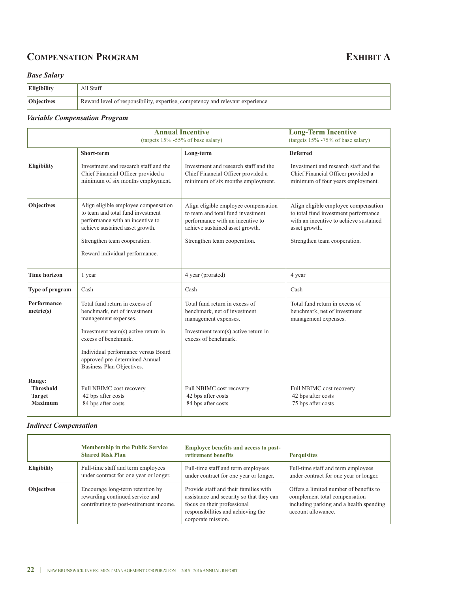## **COMPENSATION PROGRAM EXHIBIT A**

### *Base Salary*

| <b>Eligibility</b> | All Staff                                                                     |
|--------------------|-------------------------------------------------------------------------------|
| <b>Objectives</b>  | Reward level of responsibility, expertise, competency and relevant experience |

### *Variable Compensation Program*

|                                                               |                                                                                                                                                                                                                                                             | <b>Annual Incentive</b><br>(targets $15\%$ -55% of base salary)                                                                                       | <b>Long-Term Incentive</b><br>(targets $15\%$ -75% of base salary)                                                                      |
|---------------------------------------------------------------|-------------------------------------------------------------------------------------------------------------------------------------------------------------------------------------------------------------------------------------------------------------|-------------------------------------------------------------------------------------------------------------------------------------------------------|-----------------------------------------------------------------------------------------------------------------------------------------|
|                                                               | Short-term                                                                                                                                                                                                                                                  | Long-term                                                                                                                                             | <b>Deferred</b>                                                                                                                         |
| <b>Eligibility</b>                                            | Investment and research staff and the<br>Chief Financial Officer provided a<br>minimum of six months employment.                                                                                                                                            | Investment and research staff and the<br>Chief Financial Officer provided a<br>minimum of six months employment.                                      | Investment and research staff and the<br>Chief Financial Officer provided a<br>minimum of four years employment.                        |
| <b>Objectives</b>                                             | Align eligible employee compensation<br>to team and total fund investment<br>performance with an incentive to<br>achieve sustained asset growth.                                                                                                            | Align eligible employee compensation<br>to team and total fund investment<br>performance with an incentive to<br>achieve sustained asset growth.      | Align eligible employee compensation<br>to total fund investment performance<br>with an incentive to achieve sustained<br>asset growth. |
|                                                               | Strengthen team cooperation.<br>Reward individual performance.                                                                                                                                                                                              | Strengthen team cooperation.                                                                                                                          | Strengthen team cooperation.                                                                                                            |
| <b>Time horizon</b>                                           | 1 year                                                                                                                                                                                                                                                      | 4 year (prorated)                                                                                                                                     | 4 year                                                                                                                                  |
| Type of program                                               | Cash                                                                                                                                                                                                                                                        | Cash                                                                                                                                                  | Cash                                                                                                                                    |
| Performance<br>metric(s)                                      | Total fund return in excess of<br>benchmark, net of investment<br>management expenses.<br>Investment team(s) active return in<br>excess of benchmark.<br>Individual performance versus Board<br>approved pre-determined Annual<br>Business Plan Objectives. | Total fund return in excess of<br>benchmark, net of investment<br>management expenses.<br>Investment team(s) active return in<br>excess of benchmark. | Total fund return in excess of<br>benchmark, net of investment<br>management expenses.                                                  |
| Range:<br><b>Threshold</b><br><b>Target</b><br><b>Maximum</b> | Full NBIMC cost recovery<br>42 bps after costs<br>84 bps after costs                                                                                                                                                                                        | Full NBIMC cost recovery<br>42 bps after costs<br>84 bps after costs                                                                                  | Full NBIMC cost recovery<br>42 bps after costs<br>75 bps after costs                                                                    |

### *Indirect Compensation*

 $\mathbf{r}$ 

|                    | <b>Membership in the Public Service</b><br><b>Shared Risk Plan</b>                                             | <b>Employee benefits and access to post-</b><br>retirement benefits                                                                                                          | <b>Perquisites</b>                                                                                                                       |
|--------------------|----------------------------------------------------------------------------------------------------------------|------------------------------------------------------------------------------------------------------------------------------------------------------------------------------|------------------------------------------------------------------------------------------------------------------------------------------|
| <b>Eligibility</b> | Full-time staff and term employees<br>under contract for one year or longer.                                   | Full-time staff and term employees<br>under contract for one year or longer.                                                                                                 | Full-time staff and term employees<br>under contract for one year or longer.                                                             |
| <b>Objectives</b>  | Encourage long-term retention by<br>rewarding continued service and<br>contributing to post-retirement income. | Provide staff and their families with<br>assistance and security so that they can<br>focus on their professional<br>responsibilities and achieving the<br>corporate mission. | Offers a limited number of benefits to<br>complement total compensation<br>including parking and a health spending<br>account allowance. |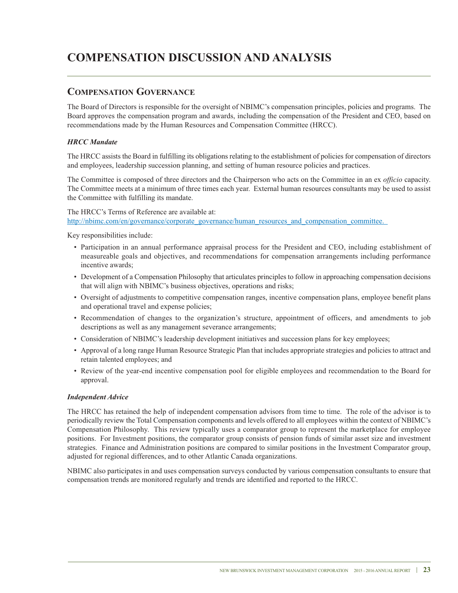## **CoMPeNsATIoN DIsCUssIoN AND ANALYsIs**

### **CoMPeNsATIoN GoVerNANCe**

The Board of Directors is responsible for the oversight of NBIMC's compensation principles, policies and programs. The Board approves the compensation program and awards, including the compensation of the President and CEO, based on recommendations made by the Human Resources and Compensation Committee (HRCC).

### *HRCC Mandate*

The HRCC assists the Board in fulfilling its obligations relating to the establishment of policies for compensation of directors and employees, leadership succession planning, and setting of human resource policies and practices.

The Committee is composed of three directors and the Chairperson who acts on the Committee in an ex *officio* capacity. The Committee meets at a minimum of three times each year. External human resources consultants may be used to assist the Committee with fulfilling its mandate.

#### The HRCC's Terms of Reference are available at: http://nbimc.com/en/governance/corporate\_governance/human\_resources\_and\_compensation\_committee.

Key responsibilities include:

- Participation in an annual performance appraisal process for the President and CEO, including establishment of measureable goals and objectives, and recommendations for compensation arrangements including performance incentive awards;
- Development of a Compensation Philosophy that articulates principles to follow in approaching compensation decisions that will align with NBIMC's business objectives, operations and risks;
- Oversight of adjustments to competitive compensation ranges, incentive compensation plans, employee benefit plans and operational travel and expense policies;
- Recommendation of changes to the organization's structure, appointment of officers, and amendments to job descriptions as well as any management severance arrangements;
- Consideration of NBIMC's leadership development initiatives and succession plans for key employees;
- Approval of a long range Human Resource Strategic Plan that includes appropriate strategies and policies to attract and retain talented employees; and
- Review of the year-end incentive compensation pool for eligible employees and recommendation to the Board for approval.

#### *Independent Advice*

The HRCC has retained the help of independent compensation advisors from time to time. The role of the advisor is to periodically review the Total Compensation components and levels offered to all employees within the context of NBIMC's Compensation Philosophy. This review typically uses a comparator group to represent the marketplace for employee positions. For Investment positions, the comparator group consists of pension funds of similar asset size and investment strategies. Finance and Administration positions are compared to similar positions in the Investment Comparator group, adjusted for regional differences, and to other Atlantic Canada organizations.

NBIMC also participates in and uses compensation surveys conducted by various compensation consultants to ensure that compensation trends are monitored regularly and trends are identified and reported to the HRCC.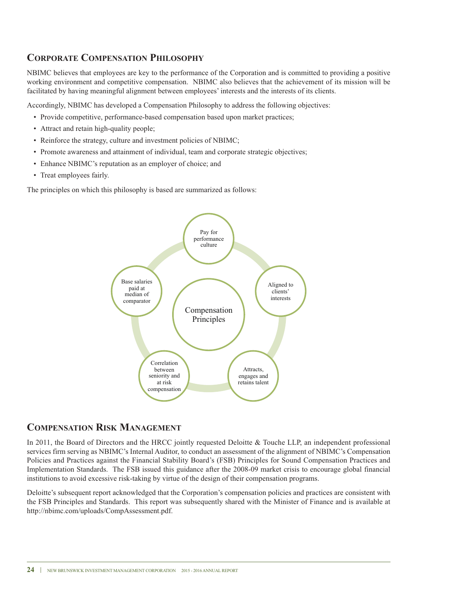### **CorPorATe CoMPeNsATIoN PHILosoPHY**

NBIMC believes that employees are key to the performance of the Corporation and is committed to providing a positive working environment and competitive compensation. NBIMC also believes that the achievement of its mission will be facilitated by having meaningful alignment between employees' interests and the interests of its clients.

Accordingly, NBIMC has developed a Compensation Philosophy to address the following objectives:

- Provide competitive, performance-based compensation based upon market practices;
- Attract and retain high-quality people;
- Reinforce the strategy, culture and investment policies of NBIMC;
- Promote awareness and attainment of individual, team and corporate strategic objectives;
- Enhance NBIMC's reputation as an employer of choice; and
- Treat employees fairly.

The principles on which this philosophy is based are summarized as follows:



### **CoMPeNsATIoN rIsk MANAGeMeNT**

In 2011, the Board of Directors and the HRCC jointly requested Deloitte & Touche LLP, an independent professional services firm serving as NBIMC's Internal Auditor, to conduct an assessment of the alignment of NBIMC's Compensation Policies and Practices against the Financial Stability Board's (FSB) Principles for Sound Compensation Practices and Implementation Standards. The FSB issued this guidance after the 2008-09 market crisis to encourage global financial institutions to avoid excessive risk-taking by virtue of the design of their compensation programs.

Deloitte's subsequent report acknowledged that the Corporation's compensation policies and practices are consistent with the FSB Principles and Standards. This report was subsequently shared with the Minister of Finance and is available at http://nbimc.com/uploads/CompAssessment.pdf.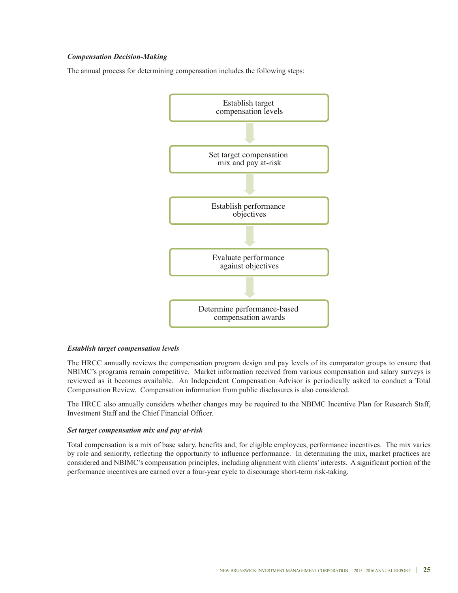#### *Compensation Decision-Making*

The annual process for determining compensation includes the following steps:



#### *Establish target compensation levels*

The HRCC annually reviews the compensation program design and pay levels of its comparator groups to ensure that NBIMC's programs remain competitive. Market information received from various compensation and salary surveys is reviewed as it becomes available. An Independent Compensation Advisor is periodically asked to conduct a Total Compensation Review. Compensation information from public disclosures is also considered.

The HRCC also annually considers whether changes may be required to the NBIMC Incentive Plan for Research Staff, Investment Staff and the Chief Financial Officer.

#### *Set target compensation mix and pay at-risk*

Total compensation is a mix of base salary, benefits and, for eligible employees, performance incentives. The mix varies by role and seniority, reflecting the opportunity to influence performance. In determining the mix, market practices are considered and NBIMC's compensation principles, including alignment with clients'interests. A significant portion of the performance incentives are earned over a four-year cycle to discourage short-term risk-taking.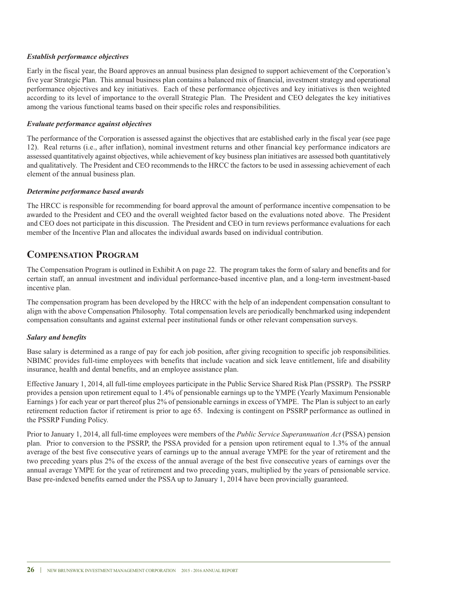#### *Establish performance objectives*

Early in the fiscal year, the Board approves an annual business plan designed to support achievement of the Corporation's five year Strategic Plan. This annual business plan contains a balanced mix of financial, investment strategy and operational performance objectives and key initiatives. Each of these performance objectives and key initiatives is then weighted according to its level of importance to the overall Strategic Plan. The President and CEO delegates the key initiatives among the various functional teams based on their specific roles and responsibilities.

#### *Evaluate performance against objectives*

The performance of the Corporation is assessed against the objectives that are established early in the fiscal year (see page 12). Real returns (i.e., after inflation), nominal investment returns and other financial key performance indicators are assessed quantitatively against objectives, while achievement of key business plan initiatives are assessed both quantitatively and qualitatively. The President and CEO recommends to the HRCC the factors to be used in assessing achievement of each element of the annual business plan.

#### *Determine performance based awards*

The HRCC is responsible for recommending for board approval the amount of performance incentive compensation to be awarded to the President and CEO and the overall weighted factor based on the evaluations noted above. The President and CEO does not participate in this discussion. The President and CEO in turn reviews performance evaluations for each member of the Incentive Plan and allocates the individual awards based on individual contribution.

### **CoMPeNsATIoN ProGrAM**

The Compensation Program is outlined in Exhibit A on page 22. The program takes the form of salary and benefits and for certain staff, an annual investment and individual performance-based incentive plan, and a long-term investment-based incentive plan.

The compensation program has been developed by the HRCC with the help of an independent compensation consultant to align with the above Compensation Philosophy. Total compensation levels are periodically benchmarked using independent compensation consultants and against external peer institutional funds or other relevant compensation surveys.

#### *Salary and benefits*

Base salary is determined as a range of pay for each job position, after giving recognition to specific job responsibilities. NBIMC provides full-time employees with benefits that include vacation and sick leave entitlement, life and disability insurance, health and dental benefits, and an employee assistance plan.

Effective January 1, 2014, all full-time employees participate in the Public Service Shared Risk Plan (PSSRP). The PSSRP provides a pension upon retirement equal to 1.4% of pensionable earnings up to the YMPE (Yearly Maximum Pensionable Earnings ) for each year or part thereof plus 2% of pensionable earnings in excess of YMPE. The Plan is subject to an early retirement reduction factor if retirement is prior to age 65. Indexing is contingent on PSSRP performance as outlined in the PSSRP Funding Policy.

Prior to January 1, 2014, all full-time employees were members of the *Public Service Superannuation Act* (PSSA) pension plan. Prior to conversion to the PSSRP, the PSSA provided for a pension upon retirement equal to 1.3% of the annual average of the best five consecutive years of earnings up to the annual average YMPE for the year of retirement and the two preceding years plus 2% of the excess of the annual average of the best five consecutive years of earnings over the annual average YMPE for the year of retirement and two preceding years, multiplied by the years of pensionable service. Base pre-indexed benefits earned under the PSSA up to January 1, 2014 have been provincially guaranteed.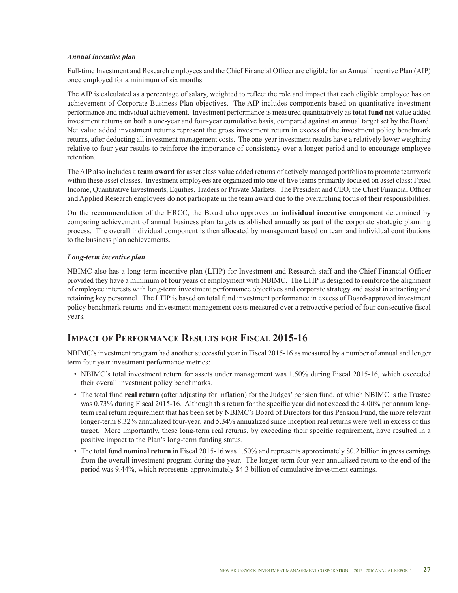### *Annual incentive plan*

Full-time Investment and Research employees and the Chief Financial Officer are eligible for an Annual Incentive Plan (AIP) once employed for a minimum of six months.

The AIP is calculated as a percentage of salary, weighted to reflect the role and impact that each eligible employee has on achievement of Corporate Business Plan objectives. The AIP includes components based on quantitative investment performance and individual achievement. Investment performance is measured quantitatively as **total fund** net value added investment returns on both a one-year and four-year cumulative basis, compared against an annual target set by the Board. Net value added investment returns represent the gross investment return in excess of the investment policy benchmark returns, after deducting all investment management costs. The one-year investment results have a relatively lower weighting relative to four-year results to reinforce the importance of consistency over a longer period and to encourage employee retention.

The AIP also includes a **team award** for asset class value added returns of actively managed portfolios to promote teamwork within these asset classes. Investment employees are organized into one of five teams primarily focused on asset class: Fixed Income, Quantitative Investments, Equities, Traders or Private Markets. The President and CEO, the Chief Financial Officer and Applied Research employees do not participate in the team award due to the overarching focus of their responsibilities.

On the recommendation of the HRCC, the Board also approves an **individual incentive** component determined by comparing achievement of annual business plan targets established annually as part of the corporate strategic planning process. The overall individual component is then allocated by management based on team and individual contributions to the business plan achievements.

### *Long-term incentive plan*

NBIMC also has a long-term incentive plan (LTIP) for Investment and Research staff and the Chief Financial Officer provided they have a minimum of four years of employment with NBIMC. The LTIP is designed to reinforce the alignment of employee interests with long-term investment performance objectives and corporate strategy and assist in attracting and retaining key personnel. The LTIP is based on total fund investment performance in excess of Board-approved investment policy benchmark returns and investment management costs measured over a retroactive period of four consecutive fiscal years.

### **IMPACT of PerforMANCe resULTs for fIsCAL 2015-16**

NBIMC's investment program had another successful year in Fiscal 2015-16 as measured by a number of annual and longer term four year investment performance metrics:

- NBIMC's total investment return for assets under management was 1.50% during Fiscal 2015-16, which exceeded their overall investment policy benchmarks.
- The total fund **real return** (after adjusting for inflation) for the Judges' pension fund, of which NBIMC is the Trustee was 0.73% during Fiscal 2015-16. Although this return for the specific year did not exceed the 4.00% per annum longterm real return requirement that has been set by NBIMC's Board of Directors for this Pension Fund, the more relevant longer-term 8.32% annualized four-year, and 5.34% annualized since inception real returns were well in excess of this target. More importantly, these long-term real returns, by exceeding their specific requirement, have resulted in a positive impact to the Plan's long-term funding status.
- The total fund **nominal return** in Fiscal 2015-16 was 1.50% and represents approximately \$0.2 billion in gross earnings from the overall investment program during the year. The longer-term four-year annualized return to the end of the period was 9.44%, which represents approximately \$4.3 billion of cumulative investment earnings.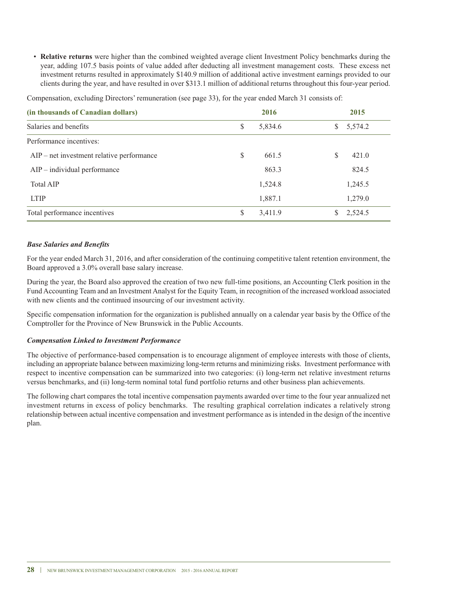• **relative returns** were higher than the combined weighted average client Investment Policy benchmarks during the year, adding 107.5 basis points of value added after deducting all investment management costs. These excess net investment returns resulted in approximately \$140.9 million of additional active investment earnings provided to our clients during the year, and have resulted in over \$313.1 million of additional returns throughout this four-year period.

**(in thousands of Canadian dollars) 2016 2015** Salaries and benefits  $\begin{array}{ccc} \text{S} & 5.834.6 & \text{S} & 5.574.2 \end{array}$ Performance incentives: AIP – net investment relative performance  $\qquad \qquad$  \$ 661.5  $\qquad \qquad$  \$ 421.0 AIP – individual performance 863.3 824.5 Total AIP 1,524.8 1,245.5 LTIP 1,887.1 1,279.0

Total performance incentives  $\qquad \qquad$  \$ 2,524.5

Compensation, excluding Directors' remuneration (see page 33), for the year ended March 31 consists of:

#### *Base Salaries and Benefits*

For the year ended March 31, 2016, and after consideration of the continuing competitive talent retention environment, the Board approved a 3.0% overall base salary increase.

During the year, the Board also approved the creation of two new full-time positions, an Accounting Clerk position in the Fund Accounting Team and an Investment Analyst for the Equity Team, in recognition of the increased workload associated with new clients and the continued insourcing of our investment activity.

Specific compensation information for the organization is published annually on a calendar year basis by the Office of the Comptroller for the Province of New Brunswick in the Public Accounts.

#### *Compensation Linked to Investment Performance*

The objective of performance-based compensation is to encourage alignment of employee interests with those of clients, including an appropriate balance between maximizing long-term returns and minimizing risks. Investment performance with respect to incentive compensation can be summarized into two categories: (i) long-term net relative investment returns versus benchmarks, and (ii) long-term nominal total fund portfolio returns and other business plan achievements.

The following chart compares the total incentive compensation payments awarded over time to the four year annualized net investment returns in excess of policy benchmarks. The resulting graphical correlation indicates a relatively strong relationship between actual incentive compensation and investment performance as is intended in the design of the incentive plan.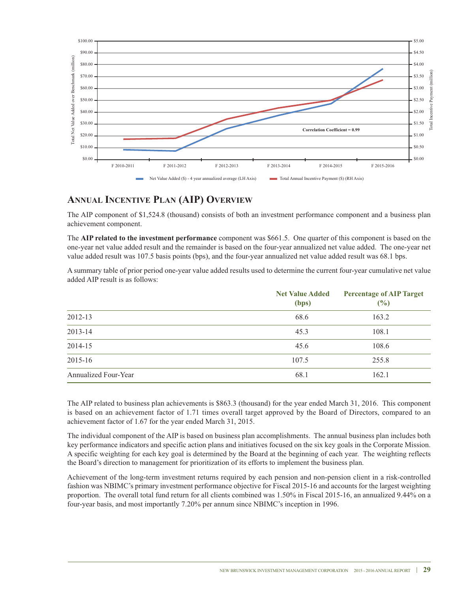

### **ANNUAL INCeNTIVe PLAN (AIP) oVerVIeW**

The AIP component of \$1,524.8 (thousand) consists of both an investment performance component and a business plan achievement component.

The **AIP related to the investment performance** component was \$661.5. One quarter of this component is based on the one-year net value added result and the remainder is based on the four-year annualized net value added. The one-year net value added result was 107.5 basis points (bps), and the four-year annualized net value added result was 68.1 bps.

A summary table of prior period one-year value added results used to determine the current four-year cumulative net value added AIP result is as follows:

|                      | <b>Net Value Added</b><br>(bps) | <b>Percentage of AIP Target</b><br>(%) |
|----------------------|---------------------------------|----------------------------------------|
| 2012-13              | 68.6                            | 163.2                                  |
| 2013-14              | 45.3                            | 108.1                                  |
| 2014-15              | 45.6                            | 108.6                                  |
| 2015-16              | 107.5                           | 255.8                                  |
| Annualized Four-Year | 68.1                            | 162.1                                  |

The AIP related to business plan achievements is \$863.3 (thousand) for the year ended March 31, 2016. This component is based on an achievement factor of 1.71 times overall target approved by the Board of Directors, compared to an achievement factor of 1.67 for the year ended March 31, 2015.

The individual component of the AIP is based on business plan accomplishments. The annual business plan includes both key performance indicators and specific action plans and initiatives focused on the six key goals in the Corporate Mission. A specific weighting for each key goal is determined by the Board at the beginning of each year. The weighting reflects the Board's direction to management for prioritization of its efforts to implement the business plan.

Achievement of the long-term investment returns required by each pension and non-pension client in a risk-controlled fashion was NBIMC's primary investment performance objective for Fiscal 2015-16 and accounts for the largest weighting proportion. The overall total fund return for all clients combined was 1.50% in Fiscal 2015-16, an annualized 9.44% on a four-year basis, and most importantly 7.20% per annum since NBIMC's inception in 1996.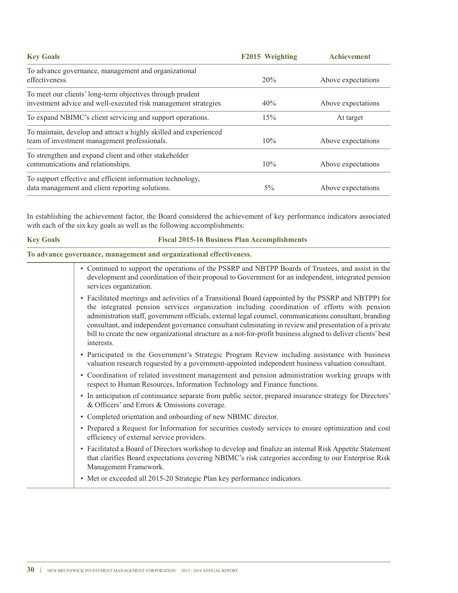| <b>Key Goals</b>                                                                                                             | F2015 Weighting | <b>Achievement</b> |
|------------------------------------------------------------------------------------------------------------------------------|-----------------|--------------------|
| To advance governance, management and organizational<br>effectiveness.                                                       | 20%             | Above expectations |
| To meet our clients' long-term objectives through prudent<br>investment advice and well-executed risk management strategies. | 40%             | Above expectations |
| To expand NBIMC's client servicing and support operations.                                                                   | 15%             | At target          |
| To maintain, develop and attract a highly skilled and experienced<br>team of investment management professionals.            | 10%             | Above expectations |
| To strengthen and expand client and other stakeholder<br>communications and relationships.                                   | 10%             | Above expectations |
| To support effective and efficient information technology,<br>data management and client reporting solutions.                | $5\%$           | Above expectations |

In establishing the achievement factor, the Board considered the achievement of key performance indicators associated with each of the six key goals as well as the following accomplishments:

#### **key Goals fiscal 2015-16 business Plan Accomplishments**

**To advance governance, management and organizational effectiveness.**

- Continued to support the operations of the PSSRP and NBTPP Boards of Trustees, and assist in the development and coordination of their proposal to Government for an independent, integrated pension services organization. • Facilitated meetings and activities of a Transitional Board (appointed by the PSSRP and NBTPP) for the integrated pension services organization including coordination of efforts with pension administration staff, government officials, external legal counsel, communications consultant, branding consultant, and independent governance consultant culminating in review and presentation of a private bill to create the new organizational structure as a not-for-profit business aligned to deliver clients' best interests. • Participated in the Government's Strategic Program Review including assistance with business valuation research requested by a government-appointed independent business valuation consultant. • Coordination of related investment management and pension administration working groups with respect to Human Resources, Information Technology and Finance functions. • In anticipation of continuance separate from public sector, prepared insurance strategy for Directors'
	- & Officers' and Errors & Omissions coverage.
	- Completed orientation and onboarding of new NBIMC director.
	- Prepared a Request for Information for securities custody services to ensure optimization and cost efficiency of external service providers.
	- Facilitated a Board of Directors workshop to develop and finalize an internal Risk Appetite Statement that clarifies Board expectations covering NBIMC's risk categories according to our Enterprise Risk Management Framework.
	- Met or exceeded all 2015-20 Strategic Plan key performance indicators.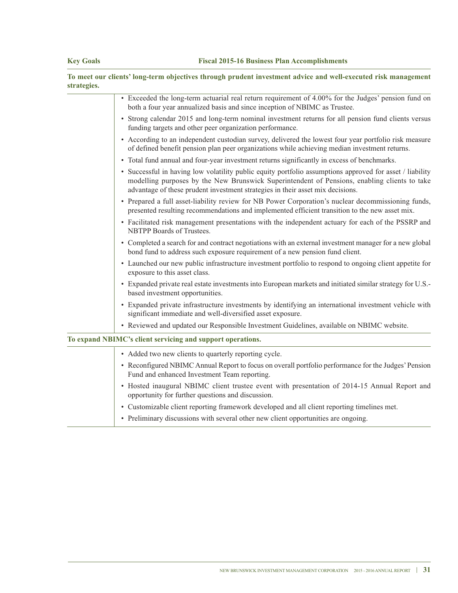|             | To meet our clients' long-term objectives through prudent investment advice and well-executed risk management |
|-------------|---------------------------------------------------------------------------------------------------------------|
| strategies. |                                                                                                               |
|             | $\Gamma$ 11.11. $\ldots$ 11.14. $\ldots$ 12.000/0.11.13. 01.                                                  |

| • Exceeded the long-term actuarial real return requirement of 4.00% for the Judges' pension fund on<br>both a four year annualized basis and since inception of NBIMC as Trustee.                                                                                                          |
|--------------------------------------------------------------------------------------------------------------------------------------------------------------------------------------------------------------------------------------------------------------------------------------------|
| • Strong calendar 2015 and long-term nominal investment returns for all pension fund clients versus<br>funding targets and other peer organization performance.                                                                                                                            |
| • According to an independent custodian survey, delivered the lowest four year portfolio risk measure<br>of defined benefit pension plan peer organizations while achieving median investment returns.                                                                                     |
| • Total fund annual and four-year investment returns significantly in excess of benchmarks.                                                                                                                                                                                                |
| • Successful in having low volatility public equity portfolio assumptions approved for asset / liability<br>modelling purposes by the New Brunswick Superintendent of Pensions, enabling clients to take<br>advantage of these prudent investment strategies in their asset mix decisions. |
| • Prepared a full asset-liability review for NB Power Corporation's nuclear decommissioning funds,<br>presented resulting recommendations and implemented efficient transition to the new asset mix.                                                                                       |
| • Facilitated risk management presentations with the independent actuary for each of the PSSRP and<br>NBTPP Boards of Trustees.                                                                                                                                                            |
| • Completed a search for and contract negotiations with an external investment manager for a new global<br>bond fund to address such exposure requirement of a new pension fund client.                                                                                                    |
| • Launched our new public infrastructure investment portfolio to respond to ongoing client appetite for<br>exposure to this asset class.                                                                                                                                                   |
| • Expanded private real estate investments into European markets and initiated similar strategy for U.S.-<br>based investment opportunities.                                                                                                                                               |
| • Expanded private infrastructure investments by identifying an international investment vehicle with<br>significant immediate and well-diversified asset exposure.                                                                                                                        |
| • Reviewed and updated our Responsible Investment Guidelines, available on NBIMC website.                                                                                                                                                                                                  |
| To expand NBIMC's client servicing and support operations.                                                                                                                                                                                                                                 |
| • Added two new clients to quarterly reporting cycle.                                                                                                                                                                                                                                      |
| • Reconfigured NBIMC Annual Report to focus on overall portfolio performance for the Judges' Pension<br>Fund and enhanced Investment Team reporting.                                                                                                                                       |
| • Hosted inaugural NBIMC client trustee event with presentation of 2014-15 Annual Report and<br>opportunity for further questions and discussion.                                                                                                                                          |
| • Customizable client reporting framework developed and all client reporting timelines met.                                                                                                                                                                                                |
| • Preliminary discussions with several other new client opportunities are ongoing.                                                                                                                                                                                                         |
|                                                                                                                                                                                                                                                                                            |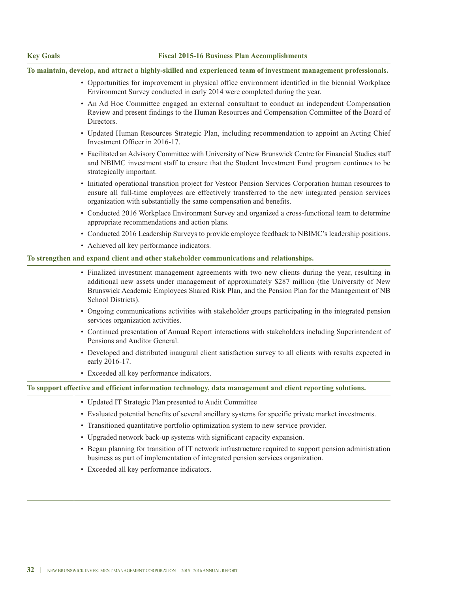### **key Goals fiscal 2015-16 business Plan Accomplishments**

**To maintain, develop, and attract a highly-skilled and experienced team of investment management professionals.**

| • Opportunities for improvement in physical office environment identified in the biennial Workplace<br>Environment Survey conducted in early 2014 were completed during the year.                                                                                                                                     |
|-----------------------------------------------------------------------------------------------------------------------------------------------------------------------------------------------------------------------------------------------------------------------------------------------------------------------|
| • An Ad Hoc Committee engaged an external consultant to conduct an independent Compensation<br>Review and present findings to the Human Resources and Compensation Committee of the Board of<br>Directors.                                                                                                            |
| • Updated Human Resources Strategic Plan, including recommendation to appoint an Acting Chief<br>Investment Officer in 2016-17.                                                                                                                                                                                       |
| • Facilitated an Advisory Committee with University of New Brunswick Centre for Financial Studies staff<br>and NBIMC investment staff to ensure that the Student Investment Fund program continues to be<br>strategically important.                                                                                  |
| • Initiated operational transition project for Vestcor Pension Services Corporation human resources to<br>ensure all full-time employees are effectively transferred to the new integrated pension services<br>organization with substantially the same compensation and benefits.                                    |
| • Conducted 2016 Workplace Environment Survey and organized a cross-functional team to determine<br>appropriate recommendations and action plans.                                                                                                                                                                     |
| • Conducted 2016 Leadership Surveys to provide employee feedback to NBIMC's leadership positions.                                                                                                                                                                                                                     |
| • Achieved all key performance indicators.                                                                                                                                                                                                                                                                            |
| To strengthen and expand client and other stakeholder communications and relationships.                                                                                                                                                                                                                               |
| · Finalized investment management agreements with two new clients during the year, resulting in<br>additional new assets under management of approximately \$287 million (the University of New<br>Brunswick Academic Employees Shared Risk Plan, and the Pension Plan for the Management of NB<br>School Districts). |
| • Ongoing communications activities with stakeholder groups participating in the integrated pension<br>services organization activities.                                                                                                                                                                              |
| • Continued presentation of Annual Report interactions with stakeholders including Superintendent of<br>Pensions and Auditor General.                                                                                                                                                                                 |
| • Developed and distributed inaugural client satisfaction survey to all clients with results expected in<br>early 2016-17.                                                                                                                                                                                            |
| • Exceeded all key performance indicators.                                                                                                                                                                                                                                                                            |
| To support effective and efficient information technology, data management and client reporting solutions.                                                                                                                                                                                                            |
| • Updated IT Strategic Plan presented to Audit Committee                                                                                                                                                                                                                                                              |
| Evaluated potential benefits of several ancillary systems for specific private market investments.                                                                                                                                                                                                                    |
| • Transitioned quantitative portfolio optimization system to new service provider.                                                                                                                                                                                                                                    |
| • Upgraded network back-up systems with significant capacity expansion.                                                                                                                                                                                                                                               |
| • Began planning for transition of IT network infrastructure required to support pension administration<br>business as part of implementation of integrated pension services organization.                                                                                                                            |
| • Exceeded all key performance indicators.                                                                                                                                                                                                                                                                            |
|                                                                                                                                                                                                                                                                                                                       |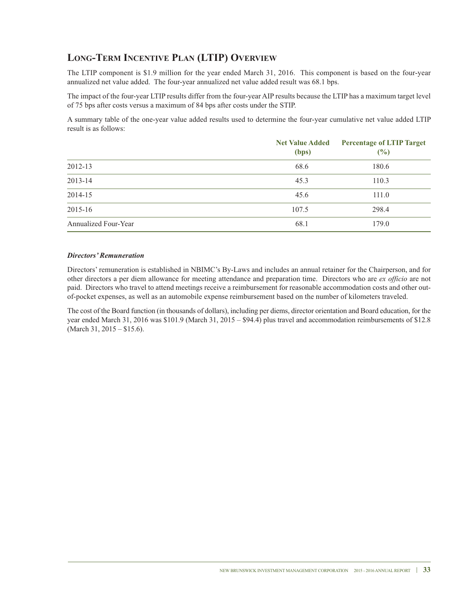### **LoNG-TerM INCeNTIVe PLAN (LTIP) oVerVIeW**

The LTIP component is \$1.9 million for the year ended March 31, 2016. This component is based on the four-year annualized net value added. The four-year annualized net value added result was 68.1 bps.

The impact of the four-year LTIP results differ from the four-year AIP results because the LTIP has a maximum target level of 75 bps after costs versus a maximum of 84 bps after costs under the STIP.

A summary table of the one-year value added results used to determine the four-year cumulative net value added LTIP result is as follows:

|                      | <b>Net Value Added</b><br>(bps) | <b>Percentage of LTIP Target</b><br>(%) |
|----------------------|---------------------------------|-----------------------------------------|
| 2012-13              | 68.6                            | 180.6                                   |
| 2013-14              | 45.3                            | 110.3                                   |
| 2014-15              | 45.6                            | 111.0                                   |
| 2015-16              | 107.5                           | 298.4                                   |
| Annualized Four-Year | 68.1                            | 179.0                                   |

#### *Directors' Remuneration*

Directors' remuneration is established in NBIMC's By-Laws and includes an annual retainer for the Chairperson, and for other directors a per diem allowance for meeting attendance and preparation time. Directors who are *ex officio* are not paid. Directors who travel to attend meetings receive a reimbursement for reasonable accommodation costs and other outof-pocket expenses, as well as an automobile expense reimbursement based on the number of kilometers traveled.

The cost of the Board function (in thousands of dollars), including per diems, director orientation and Board education, for the year ended March 31, 2016 was \$101.9 (March 31, 2015 – \$94.4) plus travel and accommodation reimbursements of \$12.8 (March 31, 2015 – \$15.6).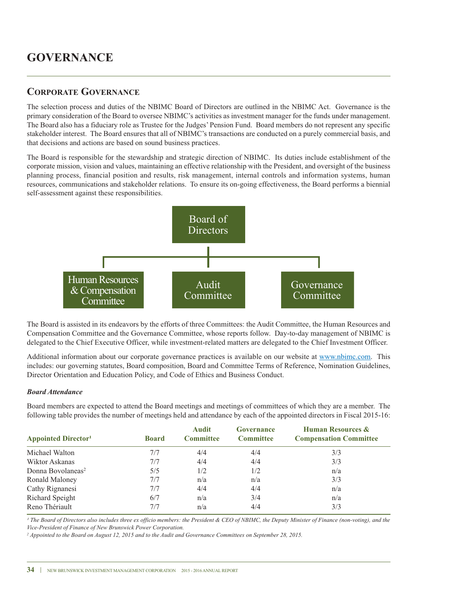### **CorPorATe GoVerNANCe**

The selection process and duties of the NBIMC Board of Directors are outlined in the NBIMC Act. Governance is the primary consideration of the Board to oversee NBIMC's activities as investment manager for the funds under management. The Board also has a fiduciary role as Trustee for the Judges' Pension Fund. Board members do not represent any specific stakeholder interest. The Board ensures that all of NBIMC's transactions are conducted on a purely commercial basis, and that decisions and actions are based on sound business practices.

The Board is responsible for the stewardship and strategic direction of NBIMC. Its duties include establishment of the corporate mission, vision and values, maintaining an effective relationship with the President, and oversight of the business planning process, financial position and results, risk management, internal controls and information systems, human resources, communications and stakeholder relations. To ensure its on-going effectiveness, the Board performs a biennial self-assessment against these responsibilities.



The Board is assisted in its endeavors by the efforts of three Committees: the Audit Committee, the Human Resources and Compensation Committee and the Governance Committee, whose reports follow. Day-to-day management of NBIMC is delegated to the Chief Executive Officer, while investment-related matters are delegated to the Chief Investment Officer.

Additional information about our corporate governance practices is available on our website at www.nbimc.com. This includes: our governing statutes, Board composition, Board and Committee Terms of Reference, Nomination Guidelines, Director Orientation and Education Policy, and Code of Ethics and Business Conduct.

#### *Board Attendance*

Board members are expected to attend the Board meetings and meetings of committees of which they are a member. The following table provides the number of meetings held and attendance by each of the appointed directors in Fiscal 2015-16:

| <b>Appointed Director</b> <sup>1</sup> | <b>Board</b> | <b>Audit</b><br><b>Committee</b> | Governance<br><b>Committee</b> | <b>Human Resources &amp;</b><br><b>Compensation Committee</b> |
|----------------------------------------|--------------|----------------------------------|--------------------------------|---------------------------------------------------------------|
| Michael Walton                         | 7/7          | 4/4                              | 4/4                            | 3/3                                                           |
| Wiktor Askanas                         | 7/7          | 4/4                              | 4/4                            | 3/3                                                           |
| Donna Bovolaneas <sup>2</sup>          | 5/5          | 1/2                              | 1/2                            | n/a                                                           |
| Ronald Maloney                         | 7/7          | n/a                              | n/a                            | 3/3                                                           |
| Cathy Rignanesi                        | 7/7          | 4/4                              | 4/4                            | n/a                                                           |
| Richard Speight                        | 6/7          | n/a                              | 3/4                            | n/a                                                           |
| Reno Thériault                         | 7/7          | n/a                              | 4/4                            | 3/3                                                           |

<sup>1</sup> The Board of Directors also includes three ex officio members: the President & CEO of NBIMC, the Deputy Minister of Finance (non-voting), and the *Vice-President of Finance of New Brunswick Power Corporation.*

<sup>2</sup> Appointed to the Board on August 12, 2015 and to the Audit and Governance Committees on September 28, 2015.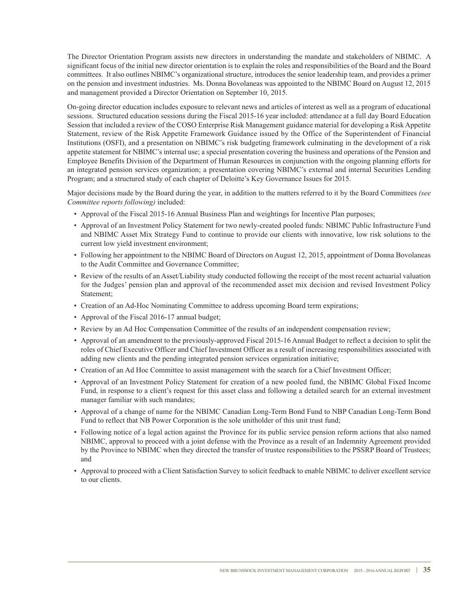The Director Orientation Program assists new directors in understanding the mandate and stakeholders of NBIMC. A significant focus of the initial new director orientation is to explain the roles and responsibilities of the Board and the Board committees. It also outlines NBIMC's organizational structure, introduces the senior leadership team, and provides a primer on the pension and investment industries. Ms. Donna Bovolaneas was appointed to the NBIMC Board on August 12, 2015 and management provided a Director Orientation on September 10, 2015.

On-going director education includes exposure to relevant news and articles of interest as well as a program of educational sessions. Structured education sessions during the Fiscal 2015-16 year included: attendance at a full day Board Education Session that included a review of the COSO Enterprise Risk Management guidance material for developing a Risk Appetite Statement, review of the Risk Appetite Framework Guidance issued by the Office of the Superintendent of Financial Institutions (OSFI), and a presentation on NBIMC's risk budgeting framework culminating in the development of a risk appetite statement for NBIMC's internal use; a special presentation covering the business and operations of the Pension and Employee Benefits Division of the Department of Human Resources in conjunction with the ongoing planning efforts for an integrated pension services organization; a presentation covering NBIMC's external and internal Securities Lending Program; and a structured study of each chapter of Deloitte's Key Governance Issues for 2015.

Major decisions made by the Board during the year, in addition to the matters referred to it by the Board Committees *(see Committee reports following)* included:

- Approval of the Fiscal 2015-16 Annual Business Plan and weightings for Incentive Plan purposes;
- Approval of an Investment Policy Statement for two newly-created pooled funds: NBIMC Public Infrastructure Fund and NBIMC Asset Mix Strategy Fund to continue to provide our clients with innovative, low risk solutions to the current low yield investment environment;
- Following her appointment to the NBIMC Board of Directors on August 12, 2015, appointment of Donna Bovolaneas to the Audit Committee and Governance Committee;
- Review of the results of an Asset/Liability study conducted following the receipt of the most recent actuarial valuation for the Judges' pension plan and approval of the recommended asset mix decision and revised Investment Policy Statement;
- Creation of an Ad-Hoc Nominating Committee to address upcoming Board term expirations;
- Approval of the Fiscal 2016-17 annual budget;
- Review by an Ad Hoc Compensation Committee of the results of an independent compensation review;
- Approval of an amendment to the previously-approved Fiscal 2015-16 Annual Budget to reflect a decision to split the roles of Chief Executive Officer and Chief Investment Officer as a result of increasing responsibilities associated with adding new clients and the pending integrated pension services organization initiative;
- Creation of an Ad Hoc Committee to assist management with the search for a Chief Investment Officer;
- Approval of an Investment Policy Statement for creation of a new pooled fund, the NBIMC Global Fixed Income Fund, in response to a client's request for this asset class and following a detailed search for an external investment manager familiar with such mandates;
- Approval of a change of name for the NBIMC Canadian Long-Term Bond Fund to NBP Canadian Long-Term Bond Fund to reflect that NB Power Corporation is the sole unitholder of this unit trust fund;
- Following notice of a legal action against the Province for its public service pension reform actions that also named NBIMC, approval to proceed with a joint defense with the Province as a result of an Indemnity Agreement provided by the Province to NBIMC when they directed the transfer of trustee responsibilities to the PSSRP Board of Trustees; and
- Approval to proceed with a Client Satisfaction Survey to solicit feedback to enable NBIMC to deliver excellent service to our clients.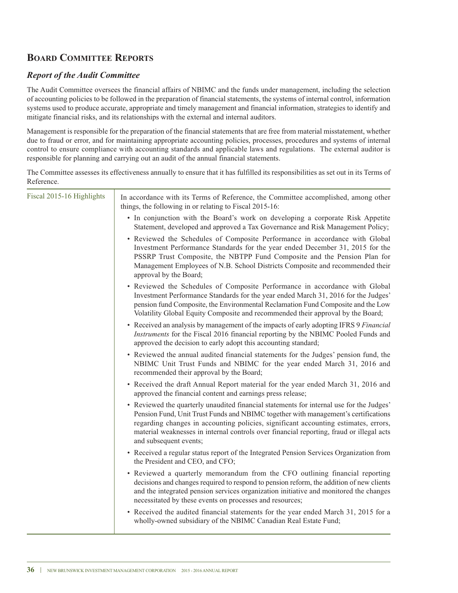### **board COMMITTEE REPORTS**

### *Report of the Audit Committee*

The Audit Committee oversees the financial affairs of NBIMC and the funds under management, including the selection of accounting policies to be followed in the preparation of financial statements, the systems of internal control, information systems used to produce accurate, appropriate and timely management and financial information, strategies to identify and mitigate financial risks, and its relationships with the external and internal auditors.

Management is responsible for the preparation of the financial statements that are free from material misstatement, whether due to fraud or error, and for maintaining appropriate accounting policies, processes, procedures and systems of internal control to ensure compliance with accounting standards and applicable laws and regulations. The external auditor is responsible for planning and carrying out an audit of the annual financial statements.

The Committee assesses its effectiveness annually to ensure that it has fulfilled its responsibilities as set out in its Terms of Reference.

| Fiscal 2015-16 Highlights | In accordance with its Terms of Reference, the Committee accomplished, among other<br>things, the following in or relating to Fiscal 2015-16:                                                                                                                                                                                                                                               |
|---------------------------|---------------------------------------------------------------------------------------------------------------------------------------------------------------------------------------------------------------------------------------------------------------------------------------------------------------------------------------------------------------------------------------------|
|                           | • In conjunction with the Board's work on developing a corporate Risk Appetite<br>Statement, developed and approved a Tax Governance and Risk Management Policy;                                                                                                                                                                                                                            |
|                           | • Reviewed the Schedules of Composite Performance in accordance with Global<br>Investment Performance Standards for the year ended December 31, 2015 for the<br>PSSRP Trust Composite, the NBTPP Fund Composite and the Pension Plan for<br>Management Employees of N.B. School Districts Composite and recommended their<br>approval by the Board;                                         |
|                           | • Reviewed the Schedules of Composite Performance in accordance with Global<br>Investment Performance Standards for the year ended March 31, 2016 for the Judges'<br>pension fund Composite, the Environmental Reclamation Fund Composite and the Low<br>Volatility Global Equity Composite and recommended their approval by the Board;                                                    |
|                           | • Received an analysis by management of the impacts of early adopting IFRS 9 Financial<br>Instruments for the Fiscal 2016 financial reporting by the NBIMC Pooled Funds and<br>approved the decision to early adopt this accounting standard;                                                                                                                                               |
|                           | • Reviewed the annual audited financial statements for the Judges' pension fund, the<br>NBIMC Unit Trust Funds and NBIMC for the year ended March 31, 2016 and<br>recommended their approval by the Board;                                                                                                                                                                                  |
|                           | • Received the draft Annual Report material for the year ended March 31, 2016 and<br>approved the financial content and earnings press release;                                                                                                                                                                                                                                             |
|                           | • Reviewed the quarterly unaudited financial statements for internal use for the Judges'<br>Pension Fund, Unit Trust Funds and NBIMC together with management's certifications<br>regarding changes in accounting policies, significant accounting estimates, errors,<br>material weaknesses in internal controls over financial reporting, fraud or illegal acts<br>and subsequent events; |
|                           | • Received a regular status report of the Integrated Pension Services Organization from<br>the President and CEO, and CFO;                                                                                                                                                                                                                                                                  |
|                           | • Reviewed a quarterly memorandum from the CFO outlining financial reporting<br>decisions and changes required to respond to pension reform, the addition of new clients<br>and the integrated pension services organization initiative and monitored the changes<br>necessitated by these events on processes and resources;                                                               |
|                           | • Received the audited financial statements for the year ended March 31, 2015 for a<br>wholly-owned subsidiary of the NBIMC Canadian Real Estate Fund;                                                                                                                                                                                                                                      |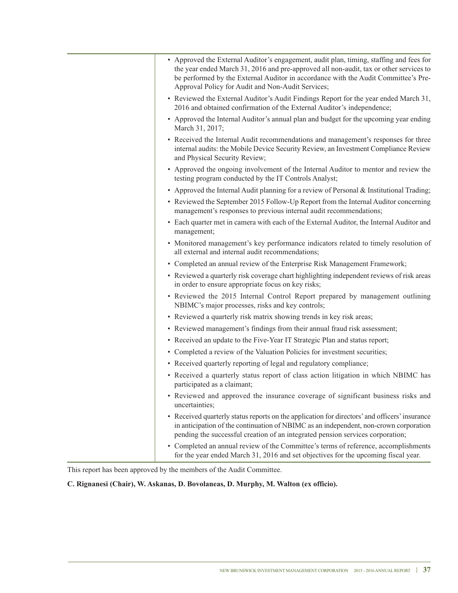| • Approved the External Auditor's engagement, audit plan, timing, staffing and fees for<br>the year ended March 31, 2016 and pre-approved all non-audit, tax or other services to<br>be performed by the External Auditor in accordance with the Audit Committee's Pre-<br>Approval Policy for Audit and Non-Audit Services; |
|------------------------------------------------------------------------------------------------------------------------------------------------------------------------------------------------------------------------------------------------------------------------------------------------------------------------------|
| • Reviewed the External Auditor's Audit Findings Report for the year ended March 31,<br>2016 and obtained confirmation of the External Auditor's independence;                                                                                                                                                               |
| • Approved the Internal Auditor's annual plan and budget for the upcoming year ending<br>March 31, 2017;                                                                                                                                                                                                                     |
| • Received the Internal Audit recommendations and management's responses for three<br>internal audits: the Mobile Device Security Review, an Investment Compliance Review<br>and Physical Security Review;                                                                                                                   |
| • Approved the ongoing involvement of the Internal Auditor to mentor and review the<br>testing program conducted by the IT Controls Analyst;                                                                                                                                                                                 |
| • Approved the Internal Audit planning for a review of Personal & Institutional Trading;                                                                                                                                                                                                                                     |
| • Reviewed the September 2015 Follow-Up Report from the Internal Auditor concerning<br>management's responses to previous internal audit recommendations;                                                                                                                                                                    |
| • Each quarter met in camera with each of the External Auditor, the Internal Auditor and<br>management;                                                                                                                                                                                                                      |
| • Monitored management's key performance indicators related to timely resolution of<br>all external and internal audit recommendations;                                                                                                                                                                                      |
| • Completed an annual review of the Enterprise Risk Management Framework;                                                                                                                                                                                                                                                    |
| • Reviewed a quarterly risk coverage chart highlighting independent reviews of risk areas<br>in order to ensure appropriate focus on key risks;                                                                                                                                                                              |
| • Reviewed the 2015 Internal Control Report prepared by management outlining<br>NBIMC's major processes, risks and key controls;                                                                                                                                                                                             |
| • Reviewed a quarterly risk matrix showing trends in key risk areas;                                                                                                                                                                                                                                                         |
| • Reviewed management's findings from their annual fraud risk assessment;                                                                                                                                                                                                                                                    |
| • Received an update to the Five-Year IT Strategic Plan and status report;                                                                                                                                                                                                                                                   |
| • Completed a review of the Valuation Policies for investment securities;                                                                                                                                                                                                                                                    |
| • Received quarterly reporting of legal and regulatory compliance;                                                                                                                                                                                                                                                           |
| • Received a quarterly status report of class action litigation in which NBIMC has<br>participated as a claimant;                                                                                                                                                                                                            |
| • Reviewed and approved the insurance coverage of significant business risks and<br>uncertainties;                                                                                                                                                                                                                           |
| • Received quarterly status reports on the application for directors' and officers' insurance<br>in anticipation of the continuation of NBIMC as an independent, non-crown corporation<br>pending the successful creation of an integrated pension services corporation;                                                     |
| • Completed an annual review of the Committee's terms of reference, accomplishments<br>for the year ended March 31, 2016 and set objectives for the upcoming fiscal year.                                                                                                                                                    |

This report has been approved by the members of the Audit Committee.

**C. rignanesi (Chair), W. Askanas, D. bovolaneas, D. Murphy, M. Walton (ex officio).**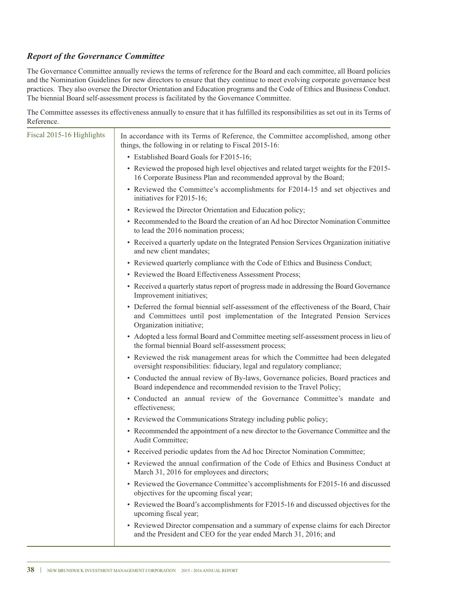### *Report of the Governance Committee*

The Governance Committee annually reviews the terms of reference for the Board and each committee, all Board policies and the Nomination Guidelines for new directors to ensure that they continue to meet evolving corporate governance best practices. They also oversee the Director Orientation and Education programs and the Code of Ethics and Business Conduct. The biennial Board self-assessment process is facilitated by the Governance Committee.

The Committee assesses its effectiveness annually to ensure that it has fulfilled its responsibilities as set out in its Terms of Reference.

| Reference.                |                                                                                                                                                                                                    |
|---------------------------|----------------------------------------------------------------------------------------------------------------------------------------------------------------------------------------------------|
| Fiscal 2015-16 Highlights | In accordance with its Terms of Reference, the Committee accomplished, among other<br>things, the following in or relating to Fiscal 2015-16:                                                      |
|                           | • Established Board Goals for F2015-16;                                                                                                                                                            |
|                           | • Reviewed the proposed high level objectives and related target weights for the F2015-<br>16 Corporate Business Plan and recommended approval by the Board;                                       |
|                           | • Reviewed the Committee's accomplishments for F2014-15 and set objectives and<br>initiatives for F2015-16;                                                                                        |
|                           | • Reviewed the Director Orientation and Education policy;                                                                                                                                          |
|                           | • Recommended to the Board the creation of an Ad hoc Director Nomination Committee<br>to lead the 2016 nomination process;                                                                         |
|                           | • Received a quarterly update on the Integrated Pension Services Organization initiative<br>and new client mandates;                                                                               |
|                           | • Reviewed quarterly compliance with the Code of Ethics and Business Conduct;                                                                                                                      |
|                           | • Reviewed the Board Effectiveness Assessment Process;                                                                                                                                             |
|                           | • Received a quarterly status report of progress made in addressing the Board Governance<br>Improvement initiatives;                                                                               |
|                           | • Deferred the formal biennial self-assessment of the effectiveness of the Board, Chair<br>and Committees until post implementation of the Integrated Pension Services<br>Organization initiative; |
|                           | • Adopted a less formal Board and Committee meeting self-assessment process in lieu of<br>the formal biennial Board self-assessment process;                                                       |
|                           | • Reviewed the risk management areas for which the Committee had been delegated<br>oversight responsibilities: fiduciary, legal and regulatory compliance;                                         |
|                           | • Conducted the annual review of By-laws, Governance policies, Board practices and<br>Board independence and recommended revision to the Travel Policy;                                            |
|                           | • Conducted an annual review of the Governance Committee's mandate and<br>effectiveness;                                                                                                           |
|                           | • Reviewed the Communications Strategy including public policy;                                                                                                                                    |
|                           | • Recommended the appointment of a new director to the Governance Committee and the<br>Audit Committee;                                                                                            |
|                           | • Received periodic updates from the Ad hoc Director Nomination Committee;                                                                                                                         |
|                           | • Reviewed the annual confirmation of the Code of Ethics and Business Conduct at<br>March 31, 2016 for employees and directors;                                                                    |
|                           | • Reviewed the Governance Committee's accomplishments for F2015-16 and discussed<br>objectives for the upcoming fiscal year;                                                                       |
|                           | • Reviewed the Board's accomplishments for F2015-16 and discussed objectives for the<br>upcoming fiscal year;                                                                                      |
|                           | • Reviewed Director compensation and a summary of expense claims for each Director<br>and the President and CEO for the year ended March 31, 2016; and                                             |
|                           |                                                                                                                                                                                                    |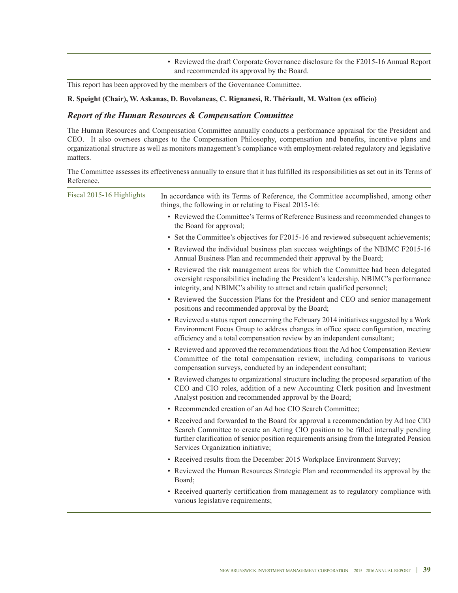This report has been approved by the members of the Governance Committee.

#### **r. speight (Chair), W. Askanas, D. bovolaneas, C. rignanesi, r. Thériault, M. Walton (ex officio)**

### *Report of the Human Resources & Compensation Committee*

The Human Resources and Compensation Committee annually conducts a performance appraisal for the President and CEO. It also oversees changes to the Compensation Philosophy, compensation and benefits, incentive plans and organizational structure as well as monitors management's compliance with employment-related regulatory and legislative matters.

The Committee assesses its effectiveness annually to ensure that it has fulfilled its responsibilities as set out in its Terms of Reference.

| Fiscal 2015-16 Highlights | In accordance with its Terms of Reference, the Committee accomplished, among other<br>things, the following in or relating to Fiscal 2015-16:                                                                                                                                                            |
|---------------------------|----------------------------------------------------------------------------------------------------------------------------------------------------------------------------------------------------------------------------------------------------------------------------------------------------------|
|                           | • Reviewed the Committee's Terms of Reference Business and recommended changes to<br>the Board for approval;                                                                                                                                                                                             |
|                           | • Set the Committee's objectives for F2015-16 and reviewed subsequent achievements;                                                                                                                                                                                                                      |
|                           | • Reviewed the individual business plan success weightings of the NBIMC F2015-16<br>Annual Business Plan and recommended their approval by the Board;                                                                                                                                                    |
|                           | • Reviewed the risk management areas for which the Committee had been delegated<br>oversight responsibilities including the President's leadership, NBIMC's performance<br>integrity, and NBIMC's ability to attract and retain qualified personnel;                                                     |
|                           | • Reviewed the Succession Plans for the President and CEO and senior management<br>positions and recommended approval by the Board;                                                                                                                                                                      |
|                           | • Reviewed a status report concerning the February 2014 initiatives suggested by a Work<br>Environment Focus Group to address changes in office space configuration, meeting<br>efficiency and a total compensation review by an independent consultant;                                                 |
|                           | • Reviewed and approved the recommendations from the Ad hoc Compensation Review<br>Committee of the total compensation review, including comparisons to various<br>compensation surveys, conducted by an independent consultant;                                                                         |
|                           | • Reviewed changes to organizational structure including the proposed separation of the<br>CEO and CIO roles, addition of a new Accounting Clerk position and Investment<br>Analyst position and recommended approval by the Board;                                                                      |
|                           | • Recommended creation of an Ad hoc CIO Search Committee;                                                                                                                                                                                                                                                |
|                           | • Received and forwarded to the Board for approval a recommendation by Ad hoc CIO<br>Search Committee to create an Acting CIO position to be filled internally pending<br>further clarification of senior position requirements arising from the Integrated Pension<br>Services Organization initiative; |
|                           | • Received results from the December 2015 Workplace Environment Survey;                                                                                                                                                                                                                                  |
|                           | • Reviewed the Human Resources Strategic Plan and recommended its approval by the<br>Board;                                                                                                                                                                                                              |
|                           | • Received quarterly certification from management as to regulatory compliance with<br>various legislative requirements;                                                                                                                                                                                 |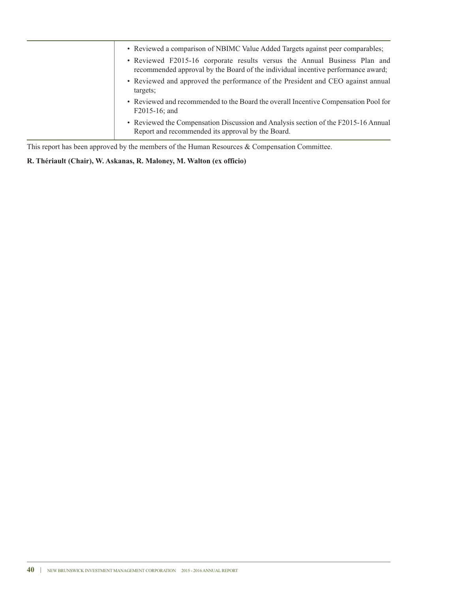| • Reviewed a comparison of NBIMC Value Added Targets against peer comparables;<br>• Reviewed F2015-16 corporate results versus the Annual Business Plan and<br>recommended approval by the Board of the individual incentive performance award; |
|-------------------------------------------------------------------------------------------------------------------------------------------------------------------------------------------------------------------------------------------------|
| • Reviewed and approved the performance of the President and CEO against annual<br>targets;                                                                                                                                                     |
| • Reviewed and recommended to the Board the overall Incentive Compensation Pool for<br>$F2015-16$ ; and                                                                                                                                         |
| • Reviewed the Compensation Discussion and Analysis section of the F2015-16 Annual<br>Report and recommended its approval by the Board.                                                                                                         |

This report has been approved by the members of the Human Resources & Compensation Committee.

### **r. Thériault (Chair), W. Askanas, r. Maloney, M. Walton (ex officio)**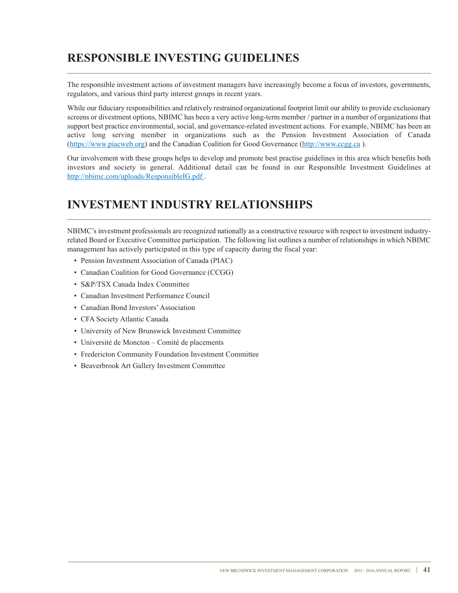## **resPoNsIbLe INVesTING GUIDeLINes**

The responsible investment actions of investment managers have increasingly become a focus of investors, governments, regulators, and various third party interest groups in recent years.

while our fiduciary responsibilities and relatively restrained organizational footprint limit our ability to provide exclusionary screens or divestment options, NBIMC has been a very active long-term member / partner in a number of organizations that support best practice environmental, social, and governance-related investment actions. For example, NBIMC has been an active long serving member in organizations such as the Pension Investment Association of Canada (https://www.piacweb.org) and the Canadian Coalition for Good Governance (http://www.ccgg.ca ).

Our involvement with these groups helps to develop and promote best practise guidelines in this area which benefits both investors and society in general. Additional detail can be found in our Responsible Investment Guidelines at http://nbimc.com/uploads/ResponsibleIG.pdf.

## **INVesTMeNT INDUsTrY reLATIoNsHIPs**

NBIMC's investment professionals are recognized nationally as a constructive resource with respect to investment industryrelated Board or Executive Committee participation. The following list outlines a number of relationships in which NBIMC management has actively participated in this type of capacity during the fiscal year:

- Pension Investment Association of Canada (PIAC)
- Canadian Coalition for Good Governance (CCGG)
- S&P/TSX Canada Index Committee
- Canadian Investment Performance Council
- Canadian Bond Investors'Association
- CFA Society Atlantic Canada
- University of New Brunswick Investment Committee
- Université de Moncton Comité de placements
- Fredericton Community Foundation Investment Committee
- Beaverbrook Art Gallery Investment Committee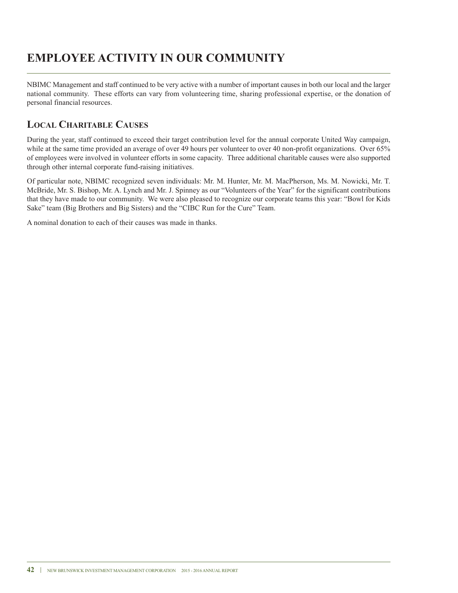## **eMPLoYee ACTIVITY IN oUr CoMMUNITY**

NBIMC Management and staff continued to be very active with a number of important causes in both our local and the larger national community. These efforts can vary from volunteering time, sharing professional expertise, or the donation of personal financial resources.

### **LoCAL CHArITAbLe CAUses**

During the year, staff continued to exceed their target contribution level for the annual corporate United way campaign, while at the same time provided an average of over 49 hours per volunteer to over 40 non-profit organizations. Over 65% of employees were involved in volunteer efforts in some capacity. Three additional charitable causes were also supported through other internal corporate fund-raising initiatives.

Of particular note, NBIMC recognized seven individuals: Mr. M. Hunter, Mr. M. MacPherson, Ms. M. Nowicki, Mr. T. McBride, Mr. S. Bishop, Mr. A. Lynch and Mr. J. Spinney as our "Volunteers of the Year" for the significant contributions that they have made to our community. we were also pleased to recognize our corporate teams this year: "Bowl for Kids Sake" team (Big Brothers and Big Sisters) and the "CIBC Run for the Cure" Team.

A nominal donation to each of their causes was made in thanks.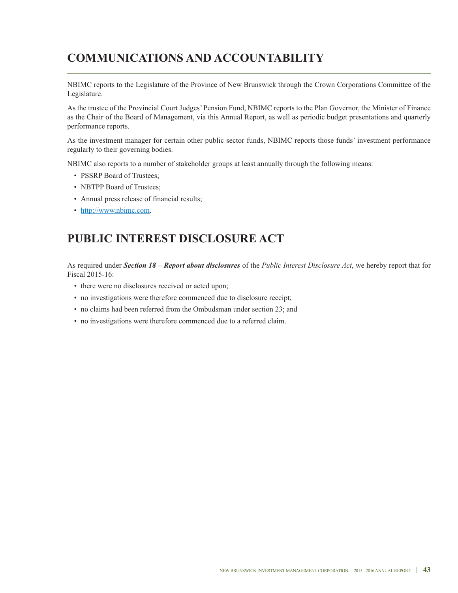## **CoMMUNICATIoNs AND ACCoUNTAbILITY**

NBIMC reports to the Legislature of the Province of New Brunswick through the Crown Corporations Committee of the Legislature.

As the trustee of the Provincial Court Judges' Pension Fund, NBIMC reports to the Plan Governor, the Minister of Finance as the Chair of the Board of Management, via this Annual Report, as well as periodic budget presentations and quarterly performance reports.

As the investment manager for certain other public sector funds, NBIMC reports those funds' investment performance regularly to their governing bodies.

NBIMC also reports to a number of stakeholder groups at least annually through the following means:

- PSSRP Board of Trustees:
- NBTPP Board of Trustees;
- Annual press release of financial results;
- http://www.nbimc.com.

## **PUbLIC INTeresT DIsCLosUre ACT**

As required under *Section 18 – Report about disclosures* of the *Public Interest Disclosure Act*, we hereby report that for Fiscal 2015-16:

- there were no disclosures received or acted upon;
- no investigations were therefore commenced due to disclosure receipt;
- no claims had been referred from the Ombudsman under section 23; and
- no investigations were therefore commenced due to a referred claim.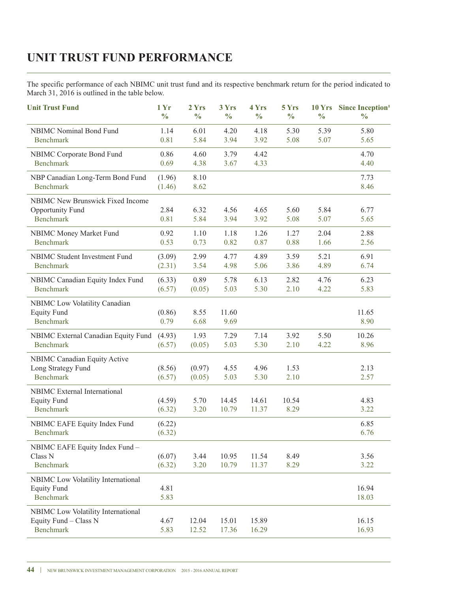## **UNIT TrUsT fUND PerforMANCe**

The specific performance of each NBIMC unit trust fund and its respective benchmark return for the period indicated to March 31, 2016 is outlined in the table below.

| <b>Unit Trust Fund</b>                                                          | 1 Yr<br>$\frac{0}{0}$ | 2 Yrs<br>$\frac{0}{0}$ | 3 Yrs<br>$\frac{0}{0}$ | 4 Yrs<br>$\frac{0}{0}$ | 5 Yrs<br>$\frac{0}{0}$ | $\frac{0}{0}$ | 10 Yrs Since Inception <sup>1</sup><br>$\frac{6}{6}$ |
|---------------------------------------------------------------------------------|-----------------------|------------------------|------------------------|------------------------|------------------------|---------------|------------------------------------------------------|
| NBIMC Nominal Bond Fund<br><b>Benchmark</b>                                     | 1.14<br>0.81          | 6.01<br>5.84           | 4.20<br>3.94           | 4.18<br>3.92           | 5.30<br>5.08           | 5.39<br>5.07  | 5.80<br>5.65                                         |
| NBIMC Corporate Bond Fund<br><b>Benchmark</b>                                   | 0.86<br>0.69          | 4.60<br>4.38           | 3.79<br>3.67           | 4.42<br>4.33           |                        |               | 4.70<br>4.40                                         |
| NBP Canadian Long-Term Bond Fund<br><b>Benchmark</b>                            | (1.96)<br>(1.46)      | 8.10<br>8.62           |                        |                        |                        |               | 7.73<br>8.46                                         |
| <b>NBIMC New Brunswick Fixed Income</b><br>Opportunity Fund<br><b>Benchmark</b> | 2.84<br>0.81          | 6.32<br>5.84           | 4.56<br>3.94           | 4.65<br>3.92           | 5.60<br>5.08           | 5.84<br>5.07  | 6.77<br>5.65                                         |
| NBIMC Money Market Fund<br><b>Benchmark</b>                                     | 0.92<br>0.53          | 1.10<br>0.73           | 1.18<br>0.82           | 1.26<br>0.87           | 1.27<br>0.88           | 2.04<br>1.66  | 2.88<br>2.56                                         |
| NBIMC Student Investment Fund<br><b>Benchmark</b>                               | (3.09)<br>(2.31)      | 2.99<br>3.54           | 4.77<br>4.98           | 4.89<br>5.06           | 3.59<br>3.86           | 5.21<br>4.89  | 6.91<br>6.74                                         |
| NBIMC Canadian Equity Index Fund<br><b>Benchmark</b>                            | (6.33)<br>(6.57)      | 0.89<br>(0.05)         | 5.78<br>5.03           | 6.13<br>5.30           | 2.82<br>2.10           | 4.76<br>4.22  | 6.23<br>5.83                                         |
| NBIMC Low Volatility Canadian<br><b>Equity Fund</b><br><b>Benchmark</b>         | (0.86)<br>0.79        | 8.55<br>6.68           | 11.60<br>9.69          |                        |                        |               | 11.65<br>8.90                                        |
| NBIMC External Canadian Equity Fund<br><b>Benchmark</b>                         | (4.93)<br>(6.57)      | 1.93<br>(0.05)         | 7.29<br>5.03           | 7.14<br>5.30           | 3.92<br>2.10           | 5.50<br>4.22  | 10.26<br>8.96                                        |
| NBIMC Canadian Equity Active<br>Long Strategy Fund<br><b>Benchmark</b>          | (8.56)<br>(6.57)      | (0.97)<br>(0.05)       | 4.55<br>5.03           | 4.96<br>5.30           | 1.53<br>2.10           |               | 2.13<br>2.57                                         |
| NBIMC External International<br><b>Equity Fund</b><br><b>Benchmark</b>          | (4.59)<br>(6.32)      | 5.70<br>3.20           | 14.45<br>10.79         | 14.61<br>11.37         | 10.54<br>8.29          |               | 4.83<br>3.22                                         |
| NBIMC EAFE Equity Index Fund<br><b>Benchmark</b>                                | (6.22)<br>(6.32)      |                        |                        |                        |                        |               | 6.85<br>6.76                                         |
| NBIMC EAFE Equity Index Fund -<br>Class <sub>N</sub><br><b>Benchmark</b>        | (6.07)<br>(6.32)      | 3.44<br>3.20           | 10.95<br>10.79         | 11.54<br>11.37         | 8.49<br>8.29           |               | 3.56<br>3.22                                         |
| NBIMC Low Volatility International<br><b>Equity Fund</b><br><b>Benchmark</b>    | 4.81<br>5.83          |                        |                        |                        |                        |               | 16.94<br>18.03                                       |
| NBIMC Low Volatility International<br>Equity Fund - Class N<br><b>Benchmark</b> | 4.67<br>5.83          | 12.04<br>12.52         | 15.01<br>17.36         | 15.89<br>16.29         |                        |               | 16.15<br>16.93                                       |